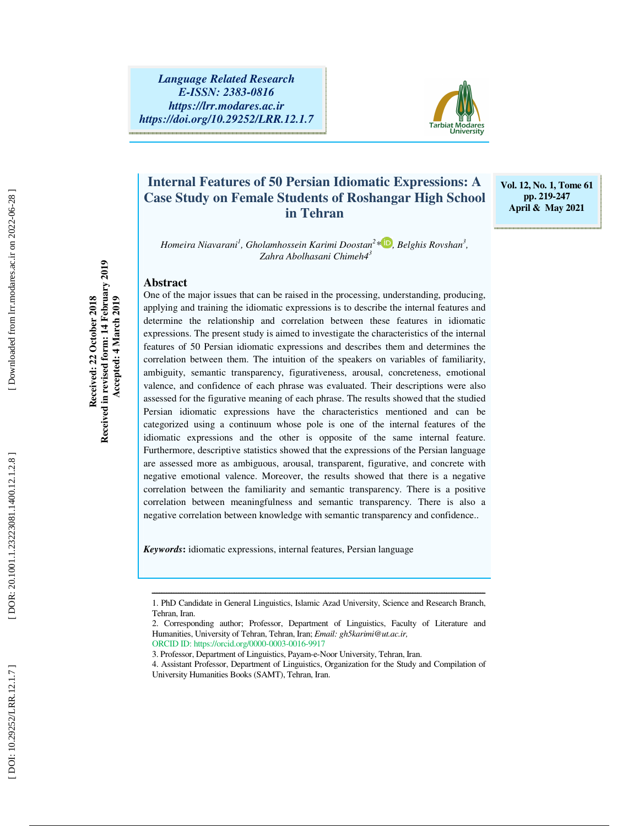

# **Internal Features of 50 Persian Idiomatic Expressions: A Case Study on Female Students of Roshangar High School in Tehran**

**Vol. 12, No. 1, Tome 61 pp. 219-247 April & May 2021** 

*Homeira Niavarani 1 , Gholamhossein Karimi Doostan 2 \* , Belghis Rovshan 3 , Zahra Abolhasani Chimeh4 3*

#### **Abstract**

One of the major issues that can be raised in the processing, understanding, producing, applying and training the idiomatic expressions is to describe the internal features and determine the relationship and correlation between these features in idiomatic expressions. The present study is aimed to investigate the characteristics of the internal features of 50 Persian idiomatic expressions and describes them and determines the correlation between them. The intuition of the speakers on variables of familiarity, ambiguity, semantic transparency, figurativeness, arousal, concreteness, emotional valence, and confidence of each phrase was evaluated. Their descriptions were also assessed for the figurative meaning of each phrase. The results showed that the studied Persian idiomatic expressions have the characteristics mentioned and can be categorized using a continuum whose pole is one of the internal features of the idiomatic expressions and the other is opposite of the same internal feature. Furthermore, descriptive statistics showed that the expressions of the Persian language are assessed more as ambiguous, arousal, transparent, figurative, and concrete with negative emotional valence. Moreover, the results showed that there is a negative correlation between the familiarity and semantic transparency. There is a positive correlation between meaningfulness and semantic transparency. There is also a negative correlation between knowledge with semantic transparency and confidence..

*Keywords* **:** idiomatic expressions, internal features, Persian language

**Received: 22 October 2018 Received in revised form: 14 February 2019 Accepted: 4 March 2019** 

Received in revised form: 14 February 2019 Received: 22 October 2018

Accepted: 4 March 2019

ــــــــــــــــــــــــــــــــــــــــــــــــــــــــــــــــــــــــــــــــــــــــــــــــــــــــــــــــــــــــــــــــــــــــــ 1. PhD Candidate in General Linguistics, Islamic Azad University, Science and Research Branch, Tehran, Iran.

<sup>2.</sup> Corresponding author; Professor, Department of Linguistics, Faculty of Literature and Humanities, University of Tehran, Tehran, Iran; *Email: gh5karimi@ut.ac.ir,* ORCID ID: https://orcid.org/0000-0003-0016-9917

<sup>3.</sup> Professor, Department of Linguistics, Payam-e-Noor University, Tehran, Iran.

<sup>4.</sup> Assistant Professor, Department of Linguistics, Organization for the Study and Compilation of University Humanities Books (SAMT), Tehran, Iran.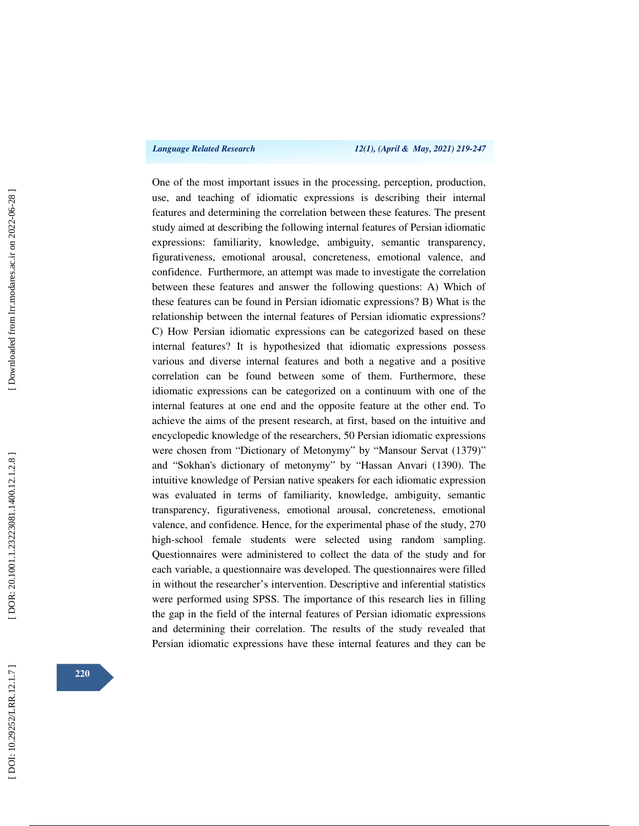*Language Related Research 12(1), (April & May, 2021) 219-247* 

One of the most important issues in the processing, perception, production, use, and teaching of idiomatic expressions is describing their internal features and determining the correlation between these features. The present study aimed at describing the following internal features of Persian idiomatic expressions: familiarity, knowledge, ambiguity, semantic transparency, figurativeness, emotional arousal, concreteness, emotional valence, and confidence. Furthermore, an attempt was made to investigate the correlation between these features and answer the following questions: A) Which of these features can be found in Persian idiomatic expressions? B) What is the relationship between the internal features of Persian idiomatic expressions? C) How Persian idiomatic expressions can be categorized based on these internal features? It is hypothesized that idiomatic expressions possess various and diverse internal features and both a negative and a positive correlation can be found between some of them. Furthermore, these idiomatic expressions can be categorized on a continuum with one of the internal features at one end and the opposite feature at the other end. To achieve the aims of the present research, at first, based on the intuitive and encyclopedic knowledge of the researchers, 50 Persian idiomatic expressions were chosen from "Dictionary of Metonymy" by "Mansour Servat (1379)" and "Sokhan's dictionary of metonymy" by "Hassan Anvari (1390). The intuitive knowledge of Persian native speakers for each idiomatic expression was evaluated in terms of familiarity, knowledge, ambiguity, semantic transparency, figurativeness, emotional arousal, concreteness, emotional valence, and confidence. Hence, for the experimental phase of the study, 270 high-school female students were selected using random sampling. Questionnaires were administered to collect the data of the study and for each variable, a questionnaire was developed. The questionnaires were filled in without the researcher's intervention. Descriptive and inferential statistics were performed using SPSS. The importance of this research lies in filling the gap in the field of the internal features of Persian idiomatic expressions and determining their correlation. The results of the study revealed that Persian idiomatic expressions have these internal features and they can be

Downloaded from lrr.modares.ac.ir on 2022-06-28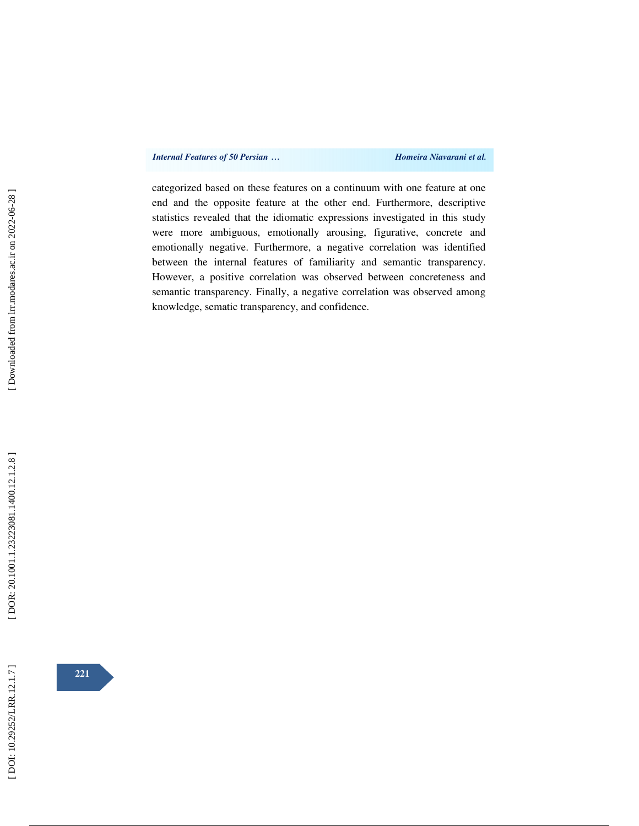categorized based on these features on a continuum with one feature at one end and the opposite feature at the other end. Furthermore, descriptive statistics revealed that the idiomatic expressions investigated in this study were more ambiguous, emotionally arousing, figurative, concrete and emotionally negative. Furthermore, a negative correlation was identified between the internal features of familiarity and semantic transparency. However, a positive correlation was observed between concreteness and semantic transparency. Finally, a negative correlation was observed among knowledge, sematic transparency, and confidence.

[DOI: 10.29252/LRR.12.1.7]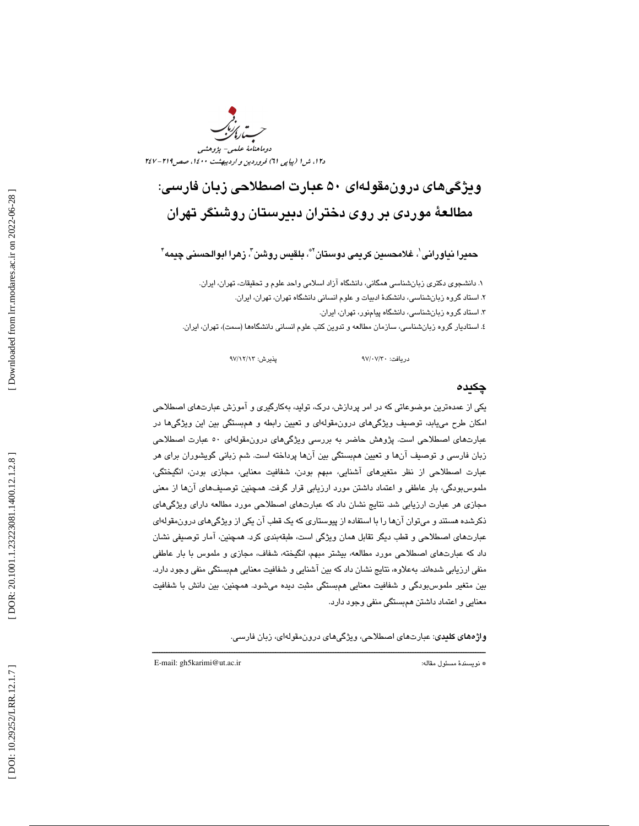

# ويژگيهاي درونمقولهاي 50 عبارت اصطلاحي زبان فارسي: مطالعة موردي بر روي دختران دبيرستان روشنگر تهران

حميرا نياورانى ٰ، غلامحسين كريمى دوستان ّ"، بلقيس روشن ّ، زهرا ابوالحسنى چيمه "

۱. دانشجوی دکتری زبانشناسی همگانی، دانشگاه آزاد اسلامی واحد علوم و تحقیقات، تهران، ایران. ۲. استاد گروه زبانشناسی، دانشکدهٔ ادبیات و علوم انسانی دانشگاه تهران، تهران، ایران. . 3 استاد گروه زبانشناسي، دانشگاه پيامنور، تهران، ايران . ٤. استاديار گروه زبانشناسي، سازمان مطالعه و تدوين كتب علوم انساني دانشگاهها (سمت)، تهران، ايران.

دريافت: 30/ 07/ 97 پذيرش: 13/ 12/ 97

### چكيده

يكي از عمدهترين موضوعاتي كه در امر پردازش، درك، توليد، بهكارگيري و آموزش عبارتهاي اصطلاحي امكان طرح مييابد، توصيف ويژگيهاي درونمقولهاي و تعيين رابطه و همبستگي بين اين ويژگيها در عبارتهاي اصطلاحي است. پژوهش حاضر به بررسي ويژگيهاي درونمقولهاي 50 عبارت اصطلاحي زبان فارسي و توصيف آنها و تعيين همبستگي بين آنها پرداخته است. شم زباني گويشوران براي هر عبارت اصطلاحي از نظر متغيرهاي آشنايي، مبهم بودن، شفافيت معنايي، مجازي بودن، انگيختگي، ملموسبودگي، بار عاطفي و اعتماد داشتن مورد ارزيابي قرار گرفت. همچنين توصيفهاي آنها از معني مجازي هر عبارت ارزيابي شد. نتايج نشان داد كه عبارتهاي اصطلاحي مورد مطالعه داراي ويژگيهاي ذكرشده هستند و ميتوان آنها را با استفاده از پيوستاري كه يك قطب آن يكي از ويژگيهاي درونمقولهاي هاي اصطلاحي و قطب ديگر تقابل همان ويژگي است، طبقهبندي كرد. همچنين، آمار توصيفي نشان عبارت داد كه عبارتهاي اصطلاحي مورد مطالعه، بيشتر مبهم، انگيخته، شفاف، مجازي و ملموس با بار عاطفي منفي ارزيابي شدهاند. بهعلاوه، نتايج نشان داد كه بين آشنايي و شفافيت معنايي همبستگي منفي وجود دارد. بين متغير ملموسبودگي و شفافيت معنايي همبستگي مثبت ديده ميشود. همچنين، بين دانش با شفافيت معنايي و اعتماد داشتن همبستگي منفي وجود دارد.

ــــــــــــــــــــــــــــــــــــــــــــــــــــــــــــــــــــــــــــــــــــــــــــــــــــــــــــــــــــــــــــــــــــــــــ

واژههاي كليدي: عبارتهاي اصطلاحي، ويژگيهاي درونمقولهاي، زبان فارسي.

E-mail: gh5karimi@ut.ac.ir :مقاله مسئول نويسندة\*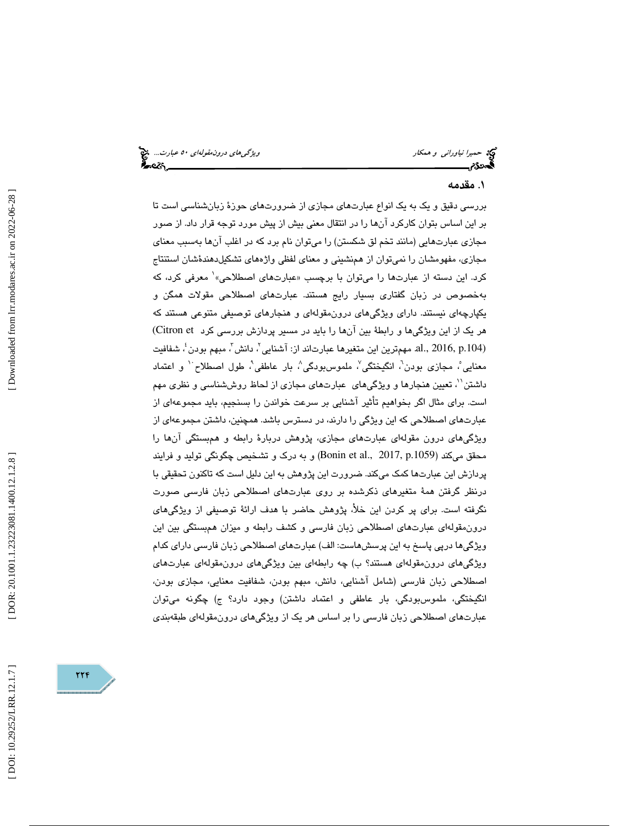حميرا *نياوراني و همكار ويشكل استخدام است بين المركزي هاي درون مقولهاي ٥٠ عبارت...*. چ<mark>خ</mark><br>ال**م**حدوم

# . مقدمه 1

بررسي دقيق و يك به يك انواع عبارتهاي مجازي از ضرورتهاي حوزة زبا ن شناسي است تا بر اين اساس بتوان كاركرد آنها را در انتقال معني بيش از پيش مورد توجه قرار داد. از صور مجازي عبارتهايي (مانند تخم لق شكستن) را ميتوان نام برد كه در اغلب آنها بهسبب معناي 1معرفي كرد، كه مجازی، مفهومشان را نميتوان از همنشيني و معناي لفظي واژههاي تشكيلدهندهٔشان استنتاج بهخصوص در زبان گفتاري بسيار رايج هستند. عبارتهاي اصطلاحي مقولات همگن و يكپارچهاي نيستند. داراي ويژگيهاي درونمقولهاي و هنجارهاي توصيفي متنوعي هستند كه هر يک از اين ويژگيها و رابطهٔ بين آنها را بايد در مسير پردازش بررسي كرد Citron et) .al., 2016, p.104) مهمترين اين متغيرها عبارتاند از: آشنايي<sup>7</sup>، دانش<sup>7</sup>، مبهم بودن<sup>، ب</sup> شفافيت معنايي ؒ، مجازي بودن ؒ، انگيختگي ؒ، ملموسبودگي ؒ، بار عاطفي ؒ، طول اصطلاح ٰ و اعتماد داشتن''، تعيين هنجارها و ويژگيهاي عبارتهاي مجازي از لحاظ روششناسي و نظري مهم است. براي مثال اگر بخواهيم تأثير آشنايي بر سرعت خواندن را بسنجيم، بايد مجموعهاي از عبارتهاي اصطلاحي كه اين ويژگي را دارند، در دسترس باشد. همچنين، داشتن مجموعهاي از ويژگيهاي درون مقولهاي عبارتهاي مجازي، پژوهش دربارة رابطه و همبستگي آنها را محقق ميكند (Bonin et al., 2017, p.1059) و به درك و تشخيص چگونگي توليد و فرايند پردازش اين عبارتها كمك ميكند. ضرورت اين پژوهش به اين دليل است كه تاكنون تحقيقي با درنظر گرفتن همة متغيرهاي ذكرشده بر روي عبارتهاي اصطلاحي زبان فارسي صورت نگرفته است. براي پر كردن اين خلأ، پژوهش حاضر با هدف ارائة توصيفي از ويژگيهاي درونمقولهاي عبارتهاي اصطلاحي زبان فارسي و كشف رابطه و ميزان همبستگي بين اين ويژگيها درپي پاسخ به اين پرسشهاست: الف) عبارتهاي اصطلاحي زبان فارسي داراي كدام ويژگيهاي درونمقولهاي هستند؟ ب) چه رابطهاي بين ويژگيهاي درونمقولهاي عبارتهاي اصطلاحي زبان فارسي (شامل آشنايي، دانش، مبهم بودن، شفافيت معنايي، مجازي بودن، انگيختگي، ملموس بودگي، بار عاطفي و اعتماد داشتن) وجود دارد؟ ج) چگونه ميتوان 1 عبارتهاي اصطلاحي زبان فارسي را بر اساس هر يك از ويژگيهاي درونمقولهاي طبقهبندي

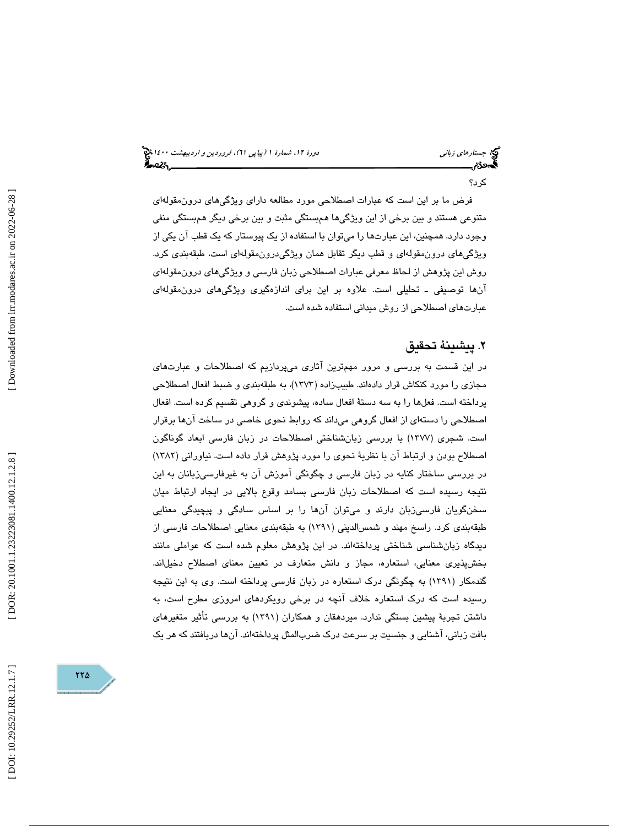# جستار*هاي زباني هي المرديبهشت 1400 ه*ورو 11، شمارة 1 (پياپي 71)، فر*وردين و ارديبهشت 14*00 هج

كرد؟

فرض ما بر اين است كه عبارات اصطلاحي مورد مطالعه داراي ويژگيهاي درونمقولهاي متنوعي هستند و بين برخي از اين ويژگيها همبستگي مثبت و بين برخي ديگر همبستگي منفي وجود دارد. همچنين، اين عبارتها را ميتوان با استفاده از يك پيوستار كه يك قطب آن يكي از ويژگيهاي درونمقولهاي و قطب ديگر تقابل همان ويژگيدرونمقولهاي است، طبقهبندي كرد. وش اين پژوهش از لحاظ معرفي عبارات اصطلاحي زبان فارسي و ويژگيهاي درونمقولهاي ر آنها توصيفي ـ تحليلي است. علاوه بر اين براي اندازهگيري ويژگيهاي درونمقولهاي عبارتهاي اصطلاحي از روش ميداني استفاده شده است.

# . پيشينة تحقيق 2

در اين قسمت به بررسي و مرور مهمترين آثاري ميپردازيم كه اصطلاحات و عبارتهاي مجازي را مورد كنكاش قرار دادهاند. طبيبزاده (1373)، به طبقهبندي و ضبط افعال اصطلاحي پرداخته است. فعلها را به سه دستة افعال ساده، پيشوندي و گروهي تقسيم كرده است. افعال اصطلاحي را دستهاي از افعال گروهي م يداند كه روابط نحوي خاصي در ساخت آنها برقرار است. شجري (1377) با بررسي زبانشناختي اصطلاحات در زبان فارسي ابعاد گوناگون اصطلاح بودن و ارتباط آن با نظرية نحوي را مورد پژوهش قرار داده است. نياوراني (1382) در بررسي ساختار كنايه در زبان فارسي و چگونگي آموزش آن به غيرفارسيزبانان به اين نتيجه رسيده است كه اصطلاحات زبان فارسي بسامد وقوع بالايي در ايجاد ارتباط ميان سخنگويان فارسيزبان دارند و ميتوان آنها را بر اساس سادگي و پيچيدگي معنايي طبقهبندي كرد. راسخ مهند و شمسالديني (1391) به طبقهبندي معنايي اصطلاحات فارسي از ديدگاه زبانشناسي شناختي پرداختهاند. در اين پژوهش معلوم شده است كه عواملي مانند بخشپذيري معنايي، استعاره، مجاز و دانش متعارف در تعيين معناي اصطلاح دخيلاند. گندمكار (1391) به چگونگي درك استعاره در زبان فارسي پرداخته است. وي به اين نتيجه رسيده است كه درك استعاره خلاف آنچه در برخي رويكردهاي امروزي مطرح است، به داشتن تجربة پيشين بستگي ندارد. ميردهقان و همكاران (1391) به بررسي تأثير متغيرهاي بافت زباني، آشنايي و جنسيت بر سرعت درك ضربالمثل پرداختهاند. آنها دريافتند كه هر يك

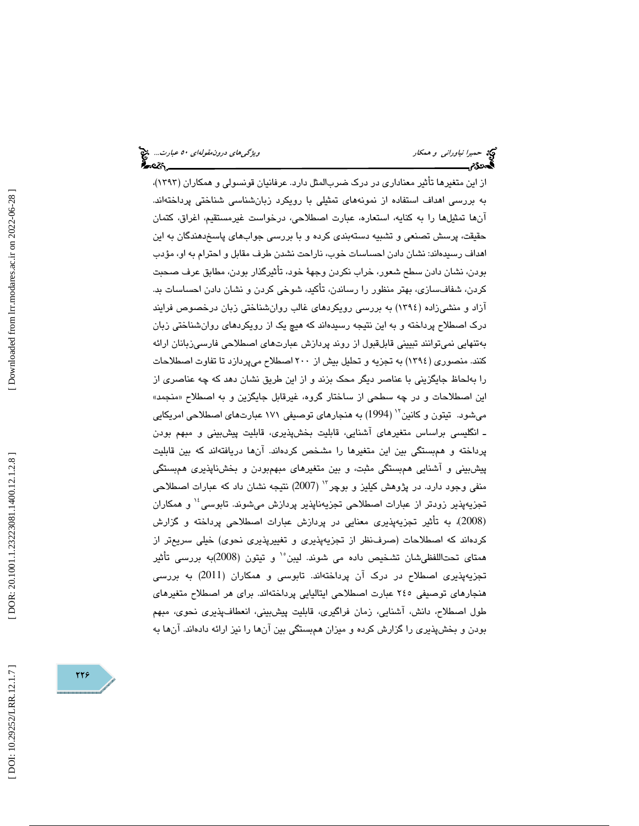از اين متغيرها تأثير معناداري در درك ضربالمثل دارد. عرفانيان قونسولي و همكاران (1393)، به بررسي اهداف استفاده از نمونههاي تمثيلي با رويكرد زبانشناسي شناختي پرداختهاند. آنها تمثيلها را به كنايه، استعاره، عبارت اصطلاحي، درخواست غيرمستقيم، اغراق، كتمان حقيقت، پرسش تصنعي و تشبيه دسته بندي كرده و با بررسي جوابهاي پاسخدهندگان به اين اهداف رسيدهاند: نشان دادن احساسات خوب، ناراحت نشدن طرف مقابل و احترام به او، مؤدب بودن، نشان دادن سطح شعور، خراب نكردن وجهة خود، تأثيرگذار بودن، مطابق عرف صحبت كردن، شفافسازي، بهتر منظور را رساندن، تأكيد، شوخي كردن و نشان دادن احساسات بد. آزاد و منشيزاده (1394) به بررسي رويكردهاي غالب روانشناختي زبان درخصوص فرايند درك اصطلاح پرداخته و به اين نتيجه رسيدهاند كه هيچ يك از رويكردهاي روانشناختي زبان بهتنهايي نميتوانند تبييني قابلقبول از روند پردازش عبارتهاي اصطلاحي فارسيزبانان ارائه كنند. منصوري (1394) به تجزيه و تحليل بيش از 200 اصطلاح ميپردازد تا تفاوت اصطلاحات را بهلحاظ جايگزيني با عناصر ديگر محك بزند و از اين طريق نشان دهد كه چه عناصري از اين اصطلاحات و در چه سطحي از ساختار گروه، غيرقابل جايگزين و به اصطلاح «منجمد» میشود. تیتون و کانین `` (1994) به هنجارهای توصیفی ۱۷۱ عبارتهای اصطلاحی امریکایی ـ انگليسي براساس متغيرهاي آشنايي، قابليت بخشپذيري، قابليت پيش بيني و مبهم بودن پرداخته و همبستگي بين اين متغيرها را مشخص كردهاند. آنها دريافتهاند كه بين قابليت پيشبيني و آشنايي همبستگي مثبت، و بين متغيرهاي مبهمبودن و بخشناپذيري همبستگي منفي وجود دارد. در پژوهش كيليز و بوچر<sup>٦٠</sup> (2007) نتيجه نشان داد كه عبارات اصطلاحي تجزيهپذير زودتر از عبارات اصطلاحی تجزيهناپذير پردازش ميشوند. تابوسي<sup>،</sup>' و همکاران (2008)، به تأثير تجزيه پذيري معنايي در پردازش عبارات اصطلاحي پرداخته و گزارش كردهاند كه اصطلاحات (صرفنظر از تجزيهپذيري و تغييرپذيري نحوي) خيلي سريعتر از همتاي تحتاللفظيشان تشخيص داده مي شوند. ليبن°` و تيتون (2008)به بررسي تأثير تجزيهپذيري اصطلاح در درك آن پرداختهاند. تابوسي و همكاران (2011) به بررسي هنجارهاي توصيفي 245 عبارت اصطلاحي ايتاليايي پرداختهاند. براي هر اصطلاح متغيرهاي طول اصطلاح، دانش، آشنايي، زمان فراگيري، قابليت پيشبيني، انعطاف پذيري نحوي، مبهم بودن و بخشپذيري را گزارش كرده و ميزان همبستگي بين آنها را نيز ارائه دادهاند. آنها به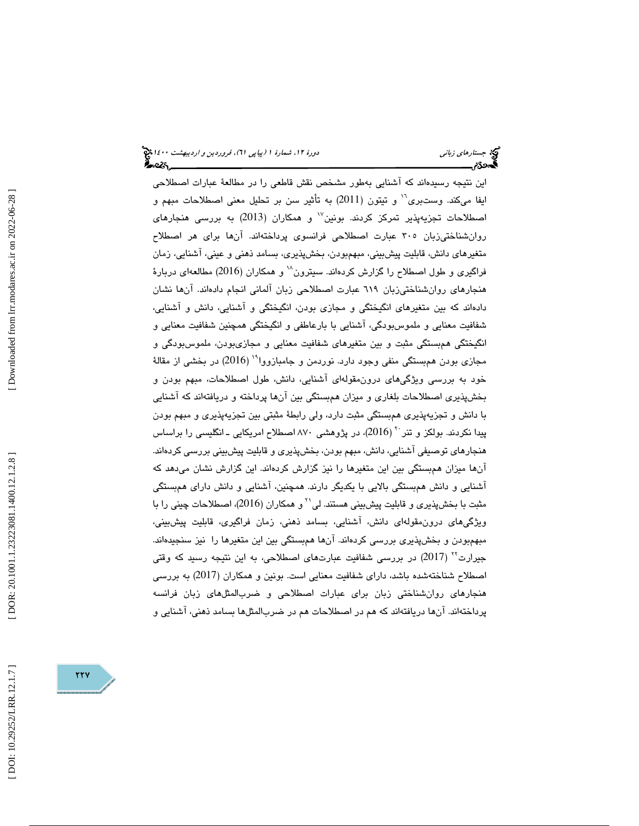اين نتيجه رسيدهاند كه آشنايي بهطور مشخص نقش قاطعي را در مطالعة عبارات اصطلاحي ايفا ميكند. وستبري<sup>11</sup> و تيتون (2011) به تأثير سن بر تحليل معني اصطلاحات مبهم و اصطلاحات تجزیهپذیر تمرکز کردند. بونین $^{\vee}$  و همکاران (2013) به بررسی هنجارهای روانشناختيزبان 305 عبارت اصطلاحي فرانسوي پرداختهاند. آنها براي هر اصطلاح متغيرهاي دانش، قابليت پيشبيني، مبهمبودن، بخشپذيري، بسامد ذهني و عيني، آشنايي، زمان فراگيري و طول اصطلاح را گزارش كردهاند. سيترون `` و همكاران (2016) مطالعهاي دربارهٔ هنجارهاي روانشناختيزبان 619 عبارت اصطلاحي زبان آلماني انجام دادهاند. آنها نشان دادهاند كه بين متغيرهاي انگيختگي و مجازي بودن، انگيختگي و آشنايي، دانش و آشنايي، شفافيت معنايي و ملموسبودگي، آشنايي با بارعاطفي و انگيختگي همچنين شفافيت معنايي و انگيختگي همبستگي مثبت و بين متغيرهاي شفافيت معنايي و مجازيبودن، ملموسبودگي و مجازي بودن همبستگي منفي وجود دارد. نوردمن و جامبازووا`` (2016) در بخشي از مقالهٔ خود به بررسي ويژگيهاي درونمقولهاي آشنايي، دانش، طول اصطلاحات، مبهم بودن و بخشپذيري اصطلاحات بلغاري و ميزان همبستگي بين آن ها پرداخته و دريافتهاند كه آشنايي با دانش و تجزيهپذيري همبستگي مثبت دارد، ولي رابطة مثبتي بين تجزيهپذيري و مبهم بودن پیدا نكردند. بولكز و تنر `` (2016)، در پژوهشی ۸۷۰ اصطلاح امریكایی ـ انگلیسی را براساس هنجارهاي توصيفي آشنايي، دانش، مبهم بودن، بخشپذيري و قابليت پيشبيني بررسي كردهاند. آنها ميزان همبستگي بين اين متغيرها را نيز گزارش كردهاند. اين گزارش نشان ميدهد كه آشنايي و دانش همبستگي بالايي با يكديگر دارند. همچنين، آشنايي و دانش داراي همبستگي مثبت با بخشپذيري و قابليت پيشبيني هستند. لي`` و همكاران (2016)، اصطلاحات چيني را با ويژگيهاي درونمقولهاي دانش، آشنايي، بسامد ذهني، زمان فراگيري، قابليت پيشبيني، مبهمبودن و بخشپذيري بررسي كردهاند. آنها همبستگي بين اين متغيرها را نيز سنجيدهاند. جیرارت<sup>۲۲</sup> (2017) در بررسی شفافیت عبارتهای اصطلاحی، به این نتیجه رسید که وقتی اصطلاح شناختهشده باشد، داراي شفافيت معنايي است. بونين و همكاران (2017) به بررسي هنجارهاي روانشناختي زبان براي عبارات اصطلاحي و ضربالمثلهاي زبان فرانسه پرداختهاند. آنها دريافتهاند كه هم در اصطلاحات هم در ضربالمثلها بسامد ذهني، آشنايي و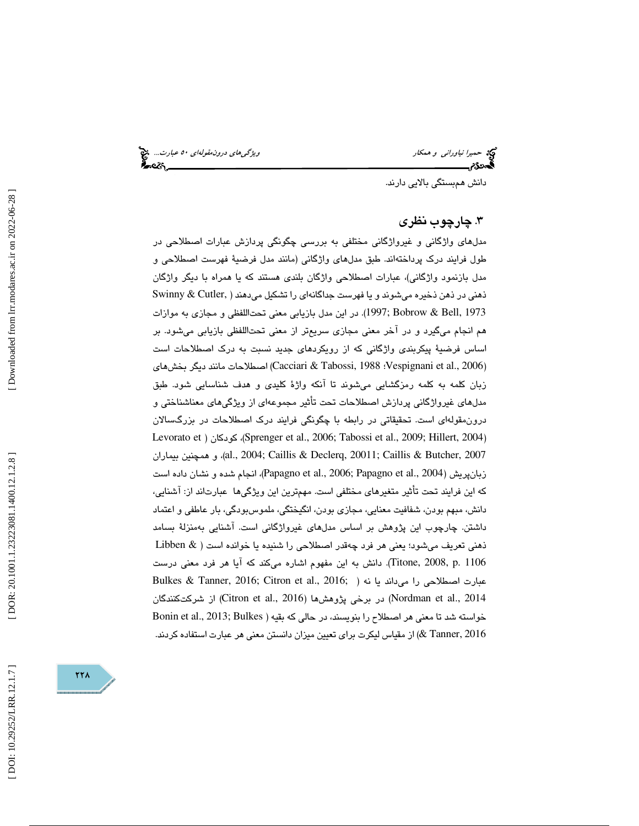حميرا *نياوراني و همكار ويشكل است... التي تحت المركز التي تحت التي تحت التي تحت التي تحت التي تحت التي تحت التي*<br>**التي تحت التي تحت التي تحت التي تحت التي تحت التي تحت التي تحت التي تحت التي تحت التي تحت التي تحت التي تحت** 

دانش همبستگي بالايي دارند.

# 3 . چارچوب نظري

 مدلهاي واژگاني و غيرواژگاني مختلفي به بررسي چگونگي پردازش عبارات اصطلاحي در طول فرايند درك پرداختهاند. طبق مدلهاي واژگاني (مانند مدل فرضية فهرست اصطلاحي و مدل بازنمود واژگاني)، عبارات اصطلاحي واژگان بلندي هستند كه يا همراه با ديگر واژگان ذهني در ذهن ذخيره ميشوند و يا فهرست جداگانهاي را تشكيل ميدهند ( ,Cutler & Swinny 1973 ,Bell & Bobrow; 1997(. در اين مدل بازيابي معني تحتاللفظي و مجازي به موازات هم انجام ميگيرد و در آخر معني مجازي سريعتر از معني تحتاللفظي بازيابي ميشود. بر اساس فرضية پيكربندي واژگاني كه از رويكردهاي جديد نسبت به درك اصطلاحات است (Pacciari & Tabossi, 1988 :Vespignani et al., 2006) اصطلاحات مانند ديگر بخشهاي (Cacciari & Tabossi, 1 بان كلمه به كلمه رمزگشايي ميشوند تا آنكه واژة كليدي و هدف شناسايي شود. طبق ز مدلهاي غيرواژگاني پردازش اصطلاحات تحت تأثير مجموعهاي از ويژگيهاي معناشناختي و درونمقولهاي است. تحقيقاتي در رابطه با چگونگي فرايند درك اصطلاحات در بزرگسالان Levorato et ) كودكان ،)Sprenger et al., 2006; Tabossi et al., 2009; Hillert, 2004 ) بيماران همچنين و ،)al., 2004; Caillis & Declerq, 20011; Caillis & Butcher, 2007 زبانپريش (2004 .,al et Papagno; 2006 .,al et Papagno(، انجام شده و نشان داده است كه اين فرايند تحت تأثير متغيرهاي مختلفي است. مهمترين اين ويژگيها عبارتاند از: آشنايي، دانش، مبهم بودن، شفافيت معنايي، مجازي بودن، انگيختگي، ملموسبودگي، بار عاطفي و اعتماد داشتن. چارچوب اين پژوهش بر اساس مدلهاي غيرواژگاني است. آشنايي بهمنزلة بسامد ذهني تعريف ميشود؛ يعني هر فرد چهقدر اصطلاحي را شنيده يا خوانده است ( & Libben Titone, 2008, p. 1106). دانش به اين مفهوم اشاره ميكند كه آيا هر فرد معنى درست Bulkes & Tanner, 2016; Citron et al., 2016; ) عبارت اصطلاحی را میداند يا نه در برخی پژوهش ها (2016 (Citron et al., 2016) از شركتكنندگان  $($ Nordman et al., 2014 خواسته شد تا معني هر اصطلاح را بنويسند، در حالي كه بقيه ( Bonin et al., 2013; Bulkes 2016 ,Tanner (& از مقياس ليكرت براي تعيين ميزان دانستن معني هر عبارت استفاده كردند.

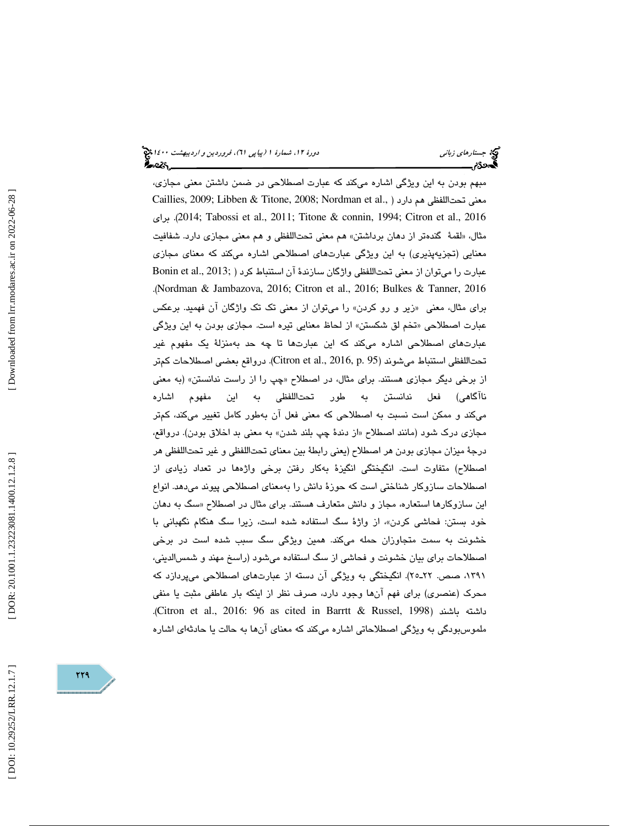#### جستار*هاي زباني هي المرديبهشت 1400 ه*ورو 11، شمارة 1 (پياپي 71)، فر*وردين و ارديبهشت 14*00 هج ર્કેન્સ્ટર,\_\_\_

مبهم بودن به اين ويژگي اشاره ميكند كه عبارت اصطلاحي در ضمن داشتن معني مجازي، Caillies, 2009; Libben & Titone, 2008; Nordman et al., ) معنى تحتاللفظي هم دارد براي .)2014 ;Tabossi et al., 2011; Titone & connin, 1994; Citron et al., 2016 مثال، «لقمهٔ گندهتر از دهان برداشتن» هم معني تحتاللفظي و هم معني مجازي دارد. شفافيت معنايي (تجزيهپذيري) به اين ويژگي عبارتهاي اصطلاحي اشاره ميكند كه معناي مجازي عبارت را ميتوان از معني تحتاللفظي واژگان سازندهٔ آن استنباط كرد ( ;Bonin et al., 2013 .(Nordman & Jambazova, 2016; Citron et al., 2016; Bulkes & Tanner, 2016 براي مثال، معني «زير و رو كردن» را ميتوان از معني تك تك واژگان آن فهميد. برعكس عبارت اصطلاحي «تخم لق شكستن» از لحاظ معنايي تيره است. مجازي بودن به اين ويژگي عبارتهاي اصطلاحي اشاره ميكند كه اين عبارتها تا چه حد بهمنزلة يك مفهوم غير تحتاللفظي استنباط ميشوند (16, p. 95). Citron et al., 2016, p. 95). درواقع بعضي اصطلاحات كمتر از برخي ديگر مجازي هستند. براي مثال، در اصطلاح «چپ را از راست ندانستن» (به معني ناآگاهي) فعل ندانستن به طور تحتاللفظي به اين مفهوم اشاره ميكند و ممكن است نسبت به اصطلاحي كه معني فعل آن به طور كامل تغيير ميكند، كمتر مجازي درک شود (مانند اصطلاح «از دندهٔ چپ بلند شدن» به معني بد اخلاق بودن). درواقع، درجة ميزان مجازي بودن هر اصطلاح (يعني رابطة بين معناي تحتاللفظي و غير تحتاللفظي هر اصطلاح) متفاوت است. انگيختگي انگيزة بهكار رفتن برخي واژهها در تعداد زيادي از اصطلاحات سازوكار شناختي است كه حوزة دانش را بهمعناي اصطلاحي پيوند ميدهد. انواع این سازوکارها استعاره، مجاز و دانش متعارف هستند. برای مثال در اصطلاح «سگ به دهان خود بستن: فحاشی کردن»، از واژهٔ سگ استفاده شده است، زیرا سگ هنگام نگهبانی با خشونت به سمت متجاوزان حمله ميكند. همين ويژگي سگ سبب شده است در برخي اصطلاحات براي بيان خشونت و فحاشي از سگ استفاده ميشود (راسخ مهند و شمسالديني، ،1391 صص. ـ22 25). انگيختگي به ويژگي آن دسته از عبارتهاي اصطلاحي ميپردازد كه محرك (عنصري) براي فهم آنها وجود دارد، صرف نظر از اينكه بار عاطفي مثبت يا منفي .(Citron et al., 2016: 96 as cited in Barrtt & Russel, 1998) باشند داشته ملموسبودگي به ويژگي اصطلاحاتي اشاره ميكند كه معناي آنها به حالت يا حادثهاي اشاره

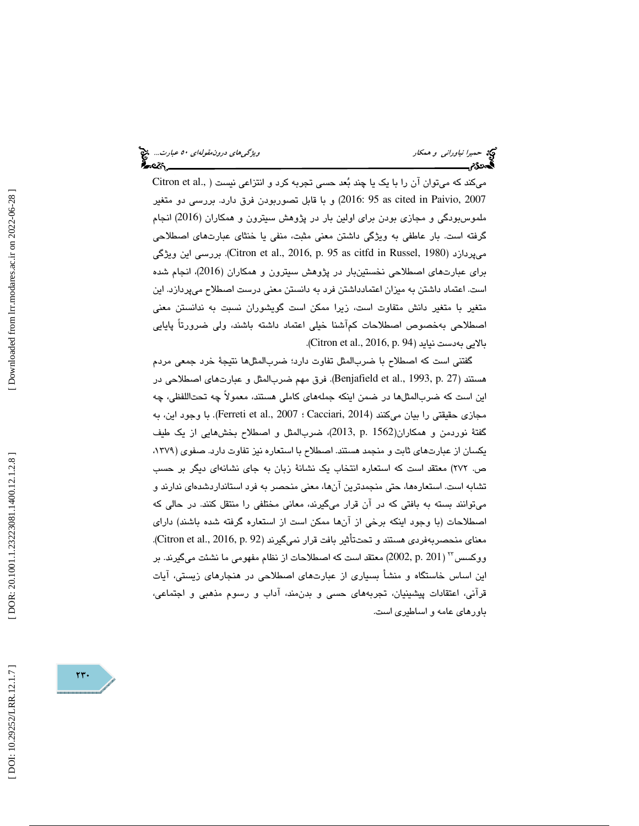ميكند كه ميتوان آن را با يك يا چند بعد حسي تجربه كرد و انتزاعي نيست ( .,al et Citron 2007 ,Paivio in cited as 95 2016: (و با قابل تصوربودن فرق دارد. بررسي دو متغير ملموس بودگي و مجازي بودن براي اولين بار در پژوهش سيترون و همكاران (2016) انجام گرفته است. بار عاطفي به ويژگي داشتن معني مثبت، منفي يا خنثاي عبارتهاي اصطلاحي ويژگي اين بررسي .)Citron et al., 2016, p. 95 as citfd in Russel, 1980) ميپردازد براي عبارتهاي اصطلاحي نخستينبار در پژوهش سيترون و همكاران (2016)، انجام شده است. اعتماد داشتن به ميزان اعتمادداشتن فرد به دانستن معني درست اصطلاح ميپردازد. اين متغير با متغير دانش متفاوت است، زيرا ممكن است گويشوران نسبت به ندانستن معني اصطلاحي بهخصوص اصطلاحات كمآشنا خيلي اعتماد داشته باشند، ولي ضرورتاً پايايي .( Citron et al., 2016, p. 94) نيايد بهدست بالايي

گفتني است كه اصطلاح با ضربالمثل تفاوت دارد؛ ضربالمثلها نتيجة خرد جمعي مردم هستند (27 .p 1993, .,al et Benjafield(. فرق مهم ضربالمثل و عبارتهاي اصطلاحي در اين است كه ضربالمثلها در ضمن اينكه جملههاي كاملي هستند، معمولاً چه تحتاللفظي، چه مجازي حقيقتي را بيان ميكنند (Cacciari, 2014 ؛ Ferreti et al., 2007). با وجود اين، به گفتة نوردمن و همكاران(1562 .p 2013,(، ضربالمثل و اصطلاح بخشهايي از يك طيف يكسان از عبارتهاي ثابت و منجمد هستند. اصطلاح با استعاره نيز تفاوت دارد. صفوي (،1379 ص. 272) معتقد است كه استعاره انتخاب يك نشانة زبان به جاي نشانهاي ديگر بر حسب تشابه است. استعارهها، حتي منجمدترين آنها، معني منحصر به فرد استاندارد شدهاي ندارند و ميتوانند بسته به بافتي كه در آن قرار ميگيرند، معاني مختلفي را منتقل كنند. در حالي كه اصطلاحات (با وجود اينكه برخي از آنها ممكن است از استعاره گرفته شده باشند) داراي معناي منحصربهفردي هستند و تحتتأثير بافت قرار نميگيرند (Citron et al., 2016, p. 92). ( 201 .p 2002, (معتقد است كه اصطلاحات از نظام مفهومي ما نشئت ميگيرند. بر <sup>23</sup> ووكسس اين اساس خاستگاه و منشأ بسياري از عبارتهاي اصطلاحي در هنجارهاي زيستي، آيات قرآني، اعتقادات پيشينيان، تجربههاي حسي و بدنمند، آداب و رسوم مذهبي و اجتماعي، باورهاي عامه و اساطيري است.

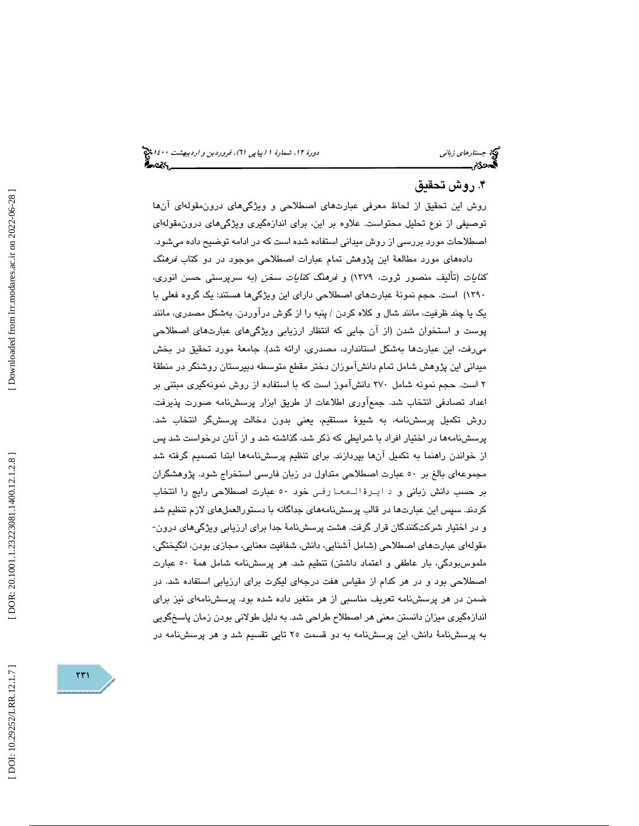# ۴. روش تحقيق

روش اين تحقيق از لحاظ معرفي عبارتهاي اصطلاحي و ويژگيهاي درونمقولهاي آنها توصيفي از نوع تحليل محتواست. علاوه بر اين، براي اندازهگيري ويژگيهاي درونمقولهاي اصطلاحات مورد بررسي از روش ميداني استفاده شده است كه در ادامه توضيح داده ميشود.

 دادههاي مورد مطالعة اين پژوهش تمام عبارات اصطلاحي موجود در دو كتاب فرهنگ كنايات (تأليف منصور ثروت، 1379) و فرهنگ كنايات سخن (به سرپرستي حسن انوري، 1390) است. حجم نمونة عبارتهاي اصطلاحي داراي اين ويژگيها هستند: يك گروه فعلي با يك يا چند ظرفيت، مانند شال و كلاه كردن / پنبه را از گوش درآوردن. بهشكل مصدري، مانند پوست و استخوان شدن (از آن جايي كه انتظار ارزيابي ويژگيهاي عبارتهاي اصطلاحي ميرفت، اين عبارتها بهشكل استاندارد، مصدري، ارائه شد). جامعة مورد تحقيق در بخش ميداني اين پژوهش شامل تمام دانشآموزان دختر مقطع متوسطه دبيرستان روشنگر در منطقة 2 است. حجم نمونه شامل 270 دانشآموز است كه با استفاده از روش نمونهگيري مبتني بر اعداد تصادفي انتخاب شد. جم عآوري اطلاعات از طريق ابزار پرسشنامه صورت پذيرفت. روش تكميل پرسشنامه، به شيوة مستقيم، يعني بدون دخالت پرسشگر انتخاب شد. پرسشنامهها در اختيار افراد با شرايطي كه ذكر شد، گذاشته شد و از آنان درخواست شد پس از خواندن راهنما به تكميل آنها بپردازند. براي تنظيم پرسشنامهها ابتدا تصميم گرفته شد مجموعهاي بالغ بر 50 عبارت اصطلاحي متداول در زبان فارسي استخراج شود. پژوهشگران بر حسب دانش زبانی و د ایـرة الـمعـا رفـی خود ٥٠ عبارت اصطلاحی رایج را انتخاب كردند. سپس اين عبارتها در قالب پرسشنامههاي جداگانه با دستورالعملهاي لازم تنظيم شد و در اختيار شركتكنندگان قرار گرفت. هشت پرسشنامة جدا براي ارزيابي ويژگيهاي درون- مقولهاي عبارت هاي اصطلاحي (شامل آشنايي، دانش، شفافيت معنايي، مجازي بودن، انگيختگي، ملموسبودگي، بار عاطفي و اعتماد داشتن) تنطيم شد. هر پرسشنامه شامل همة 50 عبارت اصطلاحي بود و در هر كدام از مقياس هفت درجهاي ليكرت براي ارزيابي استفاده شد. در ضمن در هر پرسشنامه تعريف مناسبي از هر متغير داده شده بود. پرسشنامهاي نيز براي اندازهگيري ميزان دانستن معني هر اصطلاح طراحي شد. به دليل طولاني بودن زمان پاسخگويي به پرسشنامة دانش، اين پرسشنامه به دو قسمت 25 تايي تقسيم شد و هر پرسشنامه در

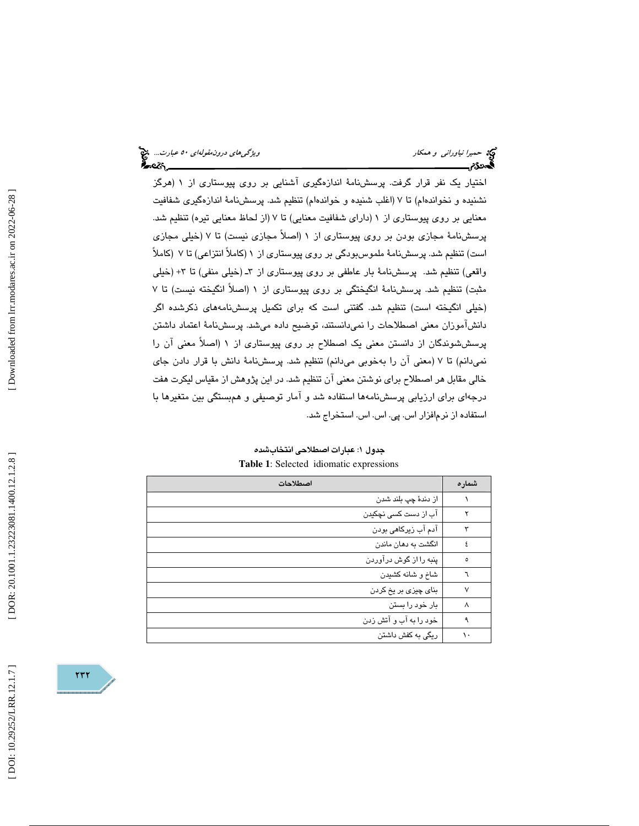اختيار يك نفر قرار گرفت. پرسشنامة اندازهگيري آشنايي بر روي پيوستاري از 1 (هرگز نشنيده و نخواندهام) تا 7 (اغلب شنيده و خواندهام) تنظيم شد. پرسشنامة اندازهگيري شفافيت معنايي بر روي پيوستاري از 1 (داراي شفافيت معنايي) تا 7 (از لحاظ معنايي تيره) تنظيم شد. پرسشنامة مجازي بودن بر روي پيوستاري از 1 (اصلاً مجازي نيست) تا 7 (خيلي مجازي است) تنظيم شد. پرسشنامة ملموسبودگي بر روي پيوستاري از 1 (كاملاً انتزاعي) تا 7 (كاملاً واقعي) تنظيم شد. پرسشنامهٔ بار عاطفي بر روي پيوستاري از ٣ـ (خيلي منفي) تا ٣+ (خيلي مثبت) تنظيم شد. پرسشنامة انگيختگي بر روي پيوستاري از 1 (اصلاً انگيخته نيست) تا 7 (خيلي انگيخته است) تنظيم شد. گفتني است كه براي تكميل پرسشنامههاي ذكرشده اگر دانشآموزان معني اصطلاحات را نميدانستند، توضيح داده ميشد. پرسشنامة اعتماد داشتن پرسششوندگان از دانستن معني يك اصطلاح بر روي پيوستاري از 1 (اصلاً معني آن را نميدانم) تا 7 (معني آن را بهخوبي ميدانم) تنظيم شد. پرسشنامة دانش با قرار دادن جاي خالي مقابل هر اصطلاح براي نوشتن معني آن تنظيم شد. در اين پژوهش از مقياس ليكرت هفت درجهاي براي ارزيابي پرسشنامهها استفاده شد و آمار توصيفي و همبستگي بين متغيرها با استفاده از نرمافزار اس. پي. اس. اس. استخراج شد.

| جدول ۱: عبارات اصطلاحی انتخابشده        |
|-----------------------------------------|
| Table 1: Selected idiomatic expressions |

| اصطلاحات               | شماره |
|------------------------|-------|
| از دندۀ چپ بلند شدن    |       |
| آب از دست کسی نچکیدن   |       |
| آدم آب زیرکاهی بودن    |       |
| انگشت به دهان ماندن    | ٤     |
| پنبه را از گوش درآوردن | ٥     |
| شاخ و شانه کشیدن       |       |
| بنای چیزی بر یخ کردن   | ٧     |
| بار خود را بستن        | ٨     |
| خود را به آب و آتش زدن | ٩     |
| ریگی به کفش داشتن      |       |

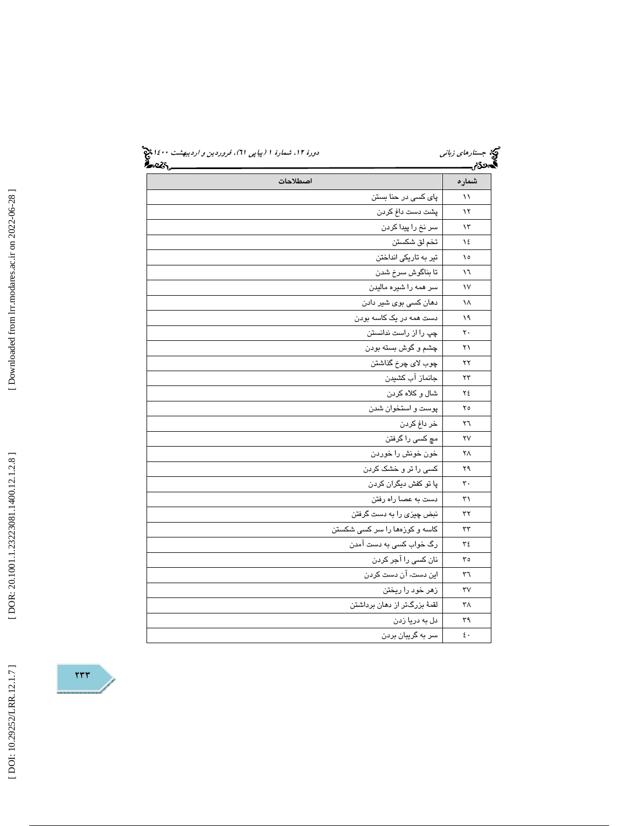|       | <u>ક</u> ્રેન્ટર,_            |
|-------|-------------------------------|
| شماره | اصطلاحات                      |
| ۱۱    | پای کسی در حنا بستن           |
| ۱۲    | پشت دست داغ کردن              |
| ۱۳    | سر نخ را پیدا کردن            |
| ١٤    | تخم لق شکستن                  |
| ١٥    | تیر به تاریکی انداختن         |
| ۱٦    | تا بناگوش سرخ شدن             |
| ١٧    | سر همه را شیره مالیدن         |
| ١٨    | دهان کسی بوی شیر دادن         |
| ۱۹    | دست همه در یک کاسه بودن       |
| ٢٠    | چپ را از راست ندانستن         |
| ۲۱    | چشم و گوش بسته بودن           |
| ۲۲    | چوب لاي چرخ گذاشتن            |
| ۲۳    | جانماز آب کشیدن               |
| ۲٤    | شال و کلاه کردن               |
| ۲٥    | پوست و استخوان شدن            |
| ٢٦    | خر داغ کردن                   |
| ۲٧    | مچ کسی را گرفتن               |
| ۲٨    | خون خونش را خوردن             |
| ۲۹    | کسی را تر و خشک کردن          |
| ٣.    | پا تو کفش دیگران کردن         |
| ٣١    | دست به عصا راه رفتن           |
| ٣٢    | نبض چیزی را به دست گرفتن      |
| ٣٣    | کاسه و کوزهها را سر کسی شکستن |
| ٣٤    | رگ خواب کسی به دست آمدن       |
| ٣٥    | نان کسی را آجر کردن           |
| ٣٦    | این دست، آن دست کردن          |
| ٣٧    | زهر خود را ريختن              |
| ۳۸    | لقمهٔ بزرگتر از دهان برداشتن  |
| ٣٩    | دل به دریا زدن                |
| ٤٠    | سر به گریبان بردن             |

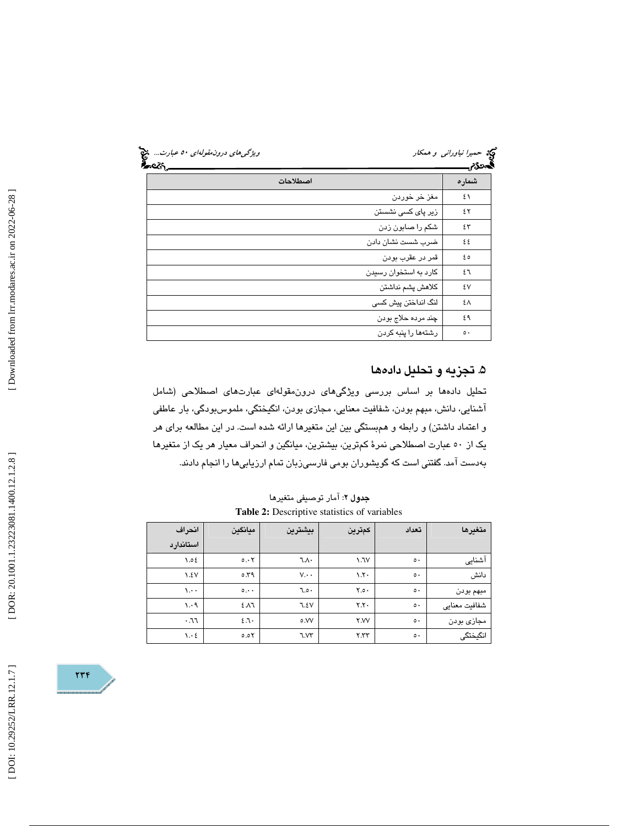| ویژگی های درون مقولهای ۵۰ عبارت<br>વ્ટડ | دید حم <i>یرا نیاورانی و همکار</i><br>مع | المحكام. |
|-----------------------------------------|------------------------------------------|----------|
|                                         | اصطلاحات                                 | شماره    |
|                                         | مغز خر خوردن                             | ٤١       |
|                                         | زیر پا <i>ی</i> کسی نشستن                | ٤٢       |
|                                         | شکم را صابون زدن                         | ٤٣       |
|                                         | ضرب شست نشان دادن                        | ٤٤       |
|                                         | قمر در عقرب بودن                         | ه ٤      |
|                                         | کارد به استخوان رسیدن                    | ٤٦       |
|                                         | كلاهش يشم نداشتن                         | ٤٧       |
|                                         | لنگ انداختن پیش کسی                      | ٤٨       |
|                                         | چند مرده حلاج بودن                       | ٤٩       |
|                                         | رشتهها را پنبه کردن                      | ه ه      |

# ۵. تجزيه و تحليل دادهها

تحليل دادهها بر اساس بررسي ويژگيهاي درونمقولهاي عبارتهاي اصطلاحي (شامل آشنايي، دانش، مبهم بودن، شفافيت معنايي، مجازي بودن، انگيختگي، ملموسبودگي، بار عاطفي و اعتماد داشتن) و رابطه و همبستگي بين اين متغيرها ارائه شده است. در اين مطالعه براي هر يك از 50 عبارت اصطلاحي نمرة كمترين، بيشترين، ميانگين و انحراف معيار هر يك از متغيرها بهدست آمد. گفتني است كه گويشوران بومي فارسيزبان تمام ارزيابيها را انجام دادند.

| متغيرها       | تعداد         | كمترين                  | بيشترين         | ميانگين             | انحراف<br>استاندارد             |  |  |  |
|---------------|---------------|-------------------------|-----------------|---------------------|---------------------------------|--|--|--|
| آشنایی        | $\circ \cdot$ | 1.7V                    | ٦.٨٠            | 0.55                | 0.02                            |  |  |  |
| دانش          | $\circ\cdot$  | $\lambda$ . $\lambda$ . | $V \cdot \cdot$ | 0.79                | $\lambda.5V$                    |  |  |  |
| مبهم بودن     | $\circ \cdot$ | Y.o.                    | 7.0.7           | $\circ \cdot \cdot$ | $\lambda \cdot \cdot$           |  |  |  |
| شفافيت معنايي | $\circ\cdot$  | Y.Y.                    | 7.5V            | 2.11                | $\cdot$ $\cdot$                 |  |  |  |
| مجازي بودن    | $\circ \cdot$ | <b>Y.VV</b>             | ٥.VV            | 2.7.                | .77                             |  |  |  |
| انگیختگی      | $\circ\cdot$  | Y.YY                    | ٦.V٣            | 0.05                | $\mathcal{N} \cdot \mathcal{E}$ |  |  |  |

**جدول ۲**: آمار توصيفی متغيرها **Table 2:** Descriptive statistics of variables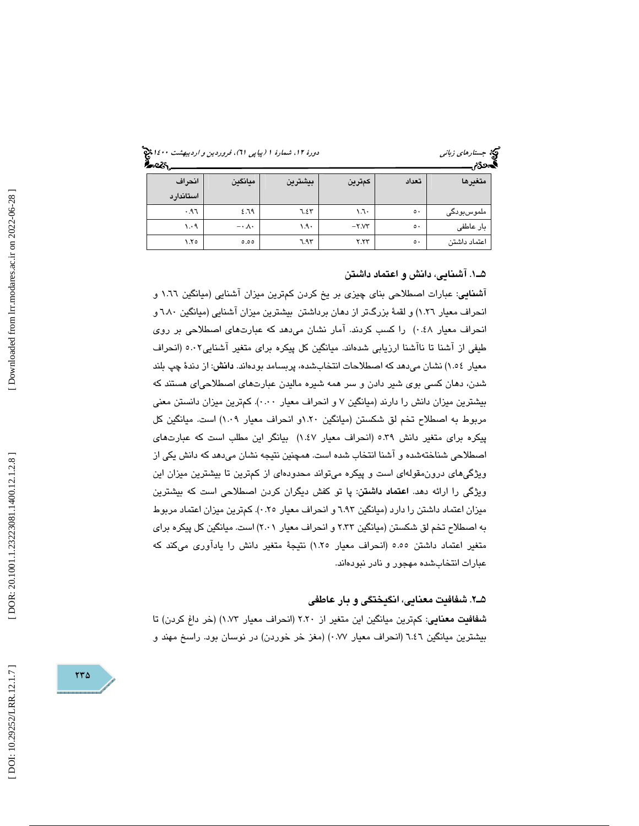جستار*هاي زباني هي المرديبهشت 1400 ه*ورو 11، شمارة 1 (پياپي 71)، فر*وردين و ارديبهشت 14*00 هج

| <del>∽∽</del> |                       |         |        |               | .            |
|---------------|-----------------------|---------|--------|---------------|--------------|
| انحراف        | ميانكين               | بيشترين | كمترين | تعداد         | متغيرها      |
| استاندارد     |                       |         |        |               |              |
| ۶۹٦.          | 2.79                  | ٦.٤٣    | ۰٦٠    | $\circ \cdot$ | ملموسبودگی   |
| 1.4           | $-\cdot \wedge \cdot$ | ۱۹۰     | $-Y.Y$ | $\circ\cdot$  | بار عاطفى    |
| ۲.٥           | 0.00                  | 7.95    | Y.YY   | $\circ \cdot$ | اعتماد داشتن |

### 1ـ5 . آشنايي، دانش و اعتماد داشتن

آشنايي: عبارات اصطلاحي بناي چيزي بر يخ كردن كمترين ميزان آشنايي (ميانگين 1.66 و انحراف معيار 1.26) و لقمة بزرگتر از دهان برداشتن بيشترين ميزان آشنايي (ميانگين 6.80 و انحراف معيار 0.48) را كسب كردند. آمار نشان ميدهد كه عبارتهاي اصطلاحي بر روي طيفي از آشنا تا ناآشنا ارزيابي شدهاند. ميانگين كل پيكره براي متغير آشنايي5.02 (انحراف معيار 1.54) نشان ميدهد كه اصطلاحات انتخابشده، پربسامد بودهاند. دانش: از دندة چپ بلند شدن، دهان كسي بوي شير دادن و سر همه شيره ماليدن عبارتهاي اصطلاحياي هستند كه بيشترين ميزان دانش را دارند (ميانگين 7 و انحراف معيار 0.00). كمترين ميزان دانستن معني مربوط به اصطلاح تخم لق شكستن (ميانگين 1.20و انحراف معيار 1.09) است. ميانگين كل پيكره براي متغير دانش 5.39 (انحراف معيار 1.47) بيانگر اين مطلب است كه عبارتهاي اصطلاحي شناختهشده و آشنا انتخاب شده است. همچنين نتيجه نشان ميدهد كه دانش يكي از ويژگيهاي درونمقولهاي است و پيكره ميتواند محدودهاي از كمترين تا بيشترين ميزان اين ویژگی را ارائه دهد. ا**عتماد داشتن**: پا تو كفش دیگران كردن اصطلاحی است كه بیشترین ميزان اعتماد داشتن را دارد (ميانگين 6.93 و انحراف معيار 0.25). كمترين ميزان اعتماد مربوط به اصطلاح تخم لق شكستن (ميانگين 2.33 و انحراف معيار 2.01) است. ميانگين كل پيكره براي متغير اعتماد داشتن 5.55 (انحراف معيار 1.25) نتيجة متغير دانش را يادآوري ميكند كه عبارات انتخابشده مهجور و نادر نبودهاند.

#### 2ـ5 . شفافيت معنايي، انگيختگي و بار عاطفي

شفافيت معنايي: كمترين ميانگين اين متغير از 2.20 (انحراف معيار 1.73) (خر داغ كردن) تا بيشترين ميانگين 6.46 (انحراف معيار 0.77) (مغز خر خوردن) در نوسان بود. راسخ مهند و

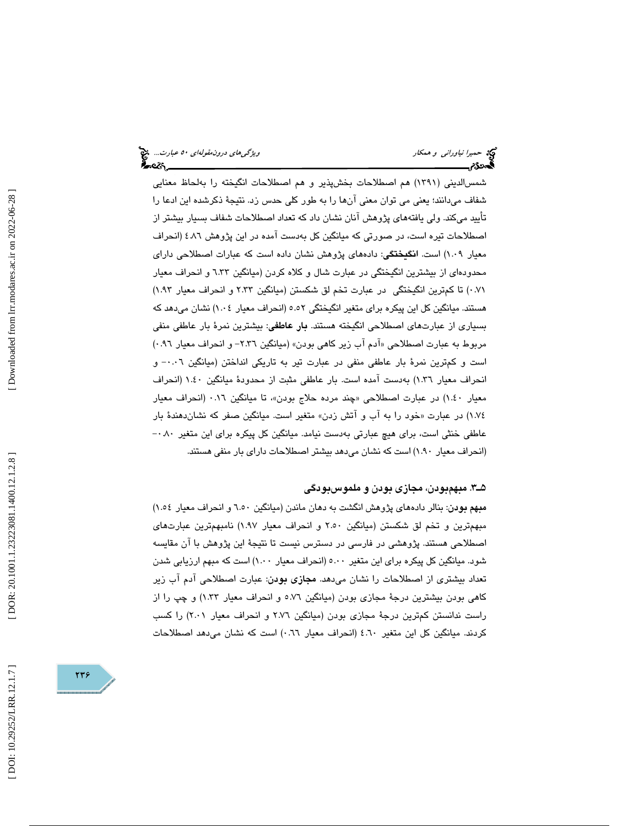شمسالديني (1391) هم اصطلاحات بخشپذير و هم اصطلاحات انگيخته را بهلحاظ معنايي شفاف ميدانند؛ يعني مي توان معني آنها را به طور كلي حدس زد. نتيجة ذكرشده اين ادعا را تأييد ميكند. ولي يافتههاي پژوهش آنان نشان داد كه تعداد اصطلاحات شفاف بسيار بيشتر از اصطلاحات تيره است، در صورتي كه ميانگين كل بهدست آمده در اين پژوهش 4.86 (انحراف معيار 1.09) است. انگيختگي: دادههاي پژوهش نشان داده است كه عبارات اصطلاحي داراي محدودهاي از بيشترين انگيختگي در عبارت شال و كلاه كردن (ميانگين 6.33 و انحراف معيار 0.71) تا كمترين انگيختگي در عبارت تخم لق شكستن (ميانگين 2.33 و انحراف معيار 1.93) هستند. ميانگين كل اين پيكره براي متغير انگيختگي 5.52 (انحراف معيار 1.04) نشان ميدهد كه بسياري از عبارتهاي اصطلاحي انگيخته هستند. **بار عاطفي**: بيشترين نمرهٔ بار عاطفي منفي مربوط به عبارت اصطلاحي «آدم آب زير كاهي بودن» (ميانگين ٢.٣٦- و انحراف معيار ٩٦.٠) است و كمترين نمرة بار عاطفي منفي در عبارت تير به تاريكي انداختن (ميانگين 0.06 و - انحراف معيار 1.36) بهدست آمده است. بار عاطفي مثبت از محدودة ميانگين 1.40 (انحراف معيار ١.٤٠) در عبارت اصطلاحي «چند مرده حلاج بودن»، تا ميانگين ٠.١٦ (انحراف معيار خود را به آب و آتش زدن» متغير است. ميانگين صفر كه نشاندهندة بار 1.74) در عبارت « عاطفي خنثي است، براي هيچ عبارتي بهدست نيامد. ميانگين كل پيكره براي اين متغير 0.80 - (انحراف معيار 1.90) است كه نشان ميدهد بيشتر اصطلاحات داراي بار منفي هستند.

### 3ـ5 . مبهم بودن، مجازي بودن و ملموسبودگي

مبهم بودن: بنالر دادههاي پژوهش انگشت به دهان ماندن (ميانگين 6.50 و انحراف معيار 1.54) مبهمترين و تخم لق شكستن (ميانگين 2.50 و انحراف معيار 1.97) نامبهمترين عبارتهاي اصطلاحي هستند. پژوهشي در فارسي در دسترس نيست تا نتيجة اين پژوهش با آن مقايسه شود. ميانگين كل پيكره براي اين متغير 5.00 (انحراف معيار 1.00 ) است كه مبهم ارزيابي شدن تعداد بيشتري از اصطلاحات را نشان ميدهد. مجازي بودن: عبارت اصطلاحي آدم آب زير كاهي بودن بيشترين درجة مجازي بودن (ميانگين 5.76 و انحراف معيار 1.33) و چپ را از راست ندانستن كمترين درجة مجازي بودن (ميانگين 2.76 و انحراف معيار 2.01) را كسب كردند. ميانگين كل اين متغير 4.60 (انحراف معيار 0.66) است كه نشان ميدهد اصطلاحات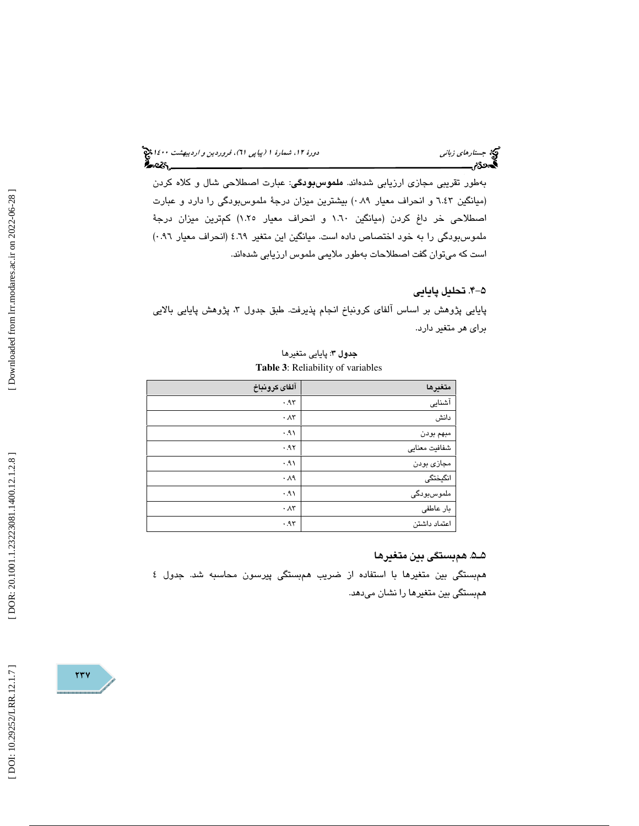# د*ورهٔ ۱۲، شمارهٔ ۱ (پياپي ۲۱)، فروردين و ارديبهشت ۱٤۰۰ پ*ي<mark>خ</mark><br>**گفت: مس**مو

بهطور تقريبي مجازي ارزيابي شدهاند. ملموسبودگي: عبارت اصطلاحي شال و كلاه كردن (ميانگين 6.43 و انحراف معيار 0.89) بيشترين ميزان درجة ملموسبودگي را دارد و عبارت اصطلاحي خر داغ كردن (ميانگين 1.60 و انحراف معيار 1.25) كمترين ميزان درجة ملموسبودگي را به خود اختصاص داده است. ميانگين اين متغير 4.69 (انحراف معيار 0.96) است كه ميتوان گفت اصطلاحات بهطور ملايمي ملموس ارزيابي شدهاند.

# -4 5 . تحليل پايايي

جبتا ر*هاي زباني*<br>دورة موردة مسمود <u>ال</u>كتاب

پايايي پژوهش بر اساس آلفاي كرونباخ انجام پذيرفت. طبق جدول ۳، پژوهش پايايي بالايي براي هر متغير دارد.

### جدول 3: پايايي متغيرها **Table 3**: Reliability of variables

| آلفاى كرونباخ     | متغيرها       |
|-------------------|---------------|
| .95               | آشنایی        |
| $\cdot \Lambda r$ | دانش          |
| .91               | مبهم بودن     |
| .95               | شفافيت معنايي |
| .91               | مجازی بودن    |
| $\cdot \Lambda$ ٩ | انگیختگی      |
| .91               | ملموسبودگی    |
| $\cdot \Lambda r$ | بار عاطفى     |
| .95               | اعتماد داشتن  |

## 5ـ5 . همبستگي بين متغيرها

 همبستگي بين متغيرها با استفاده از ضريب همبستگي پيرسون محاسبه شد. جدول 4 همبستگي بين متغيرها را نشان ميدهد.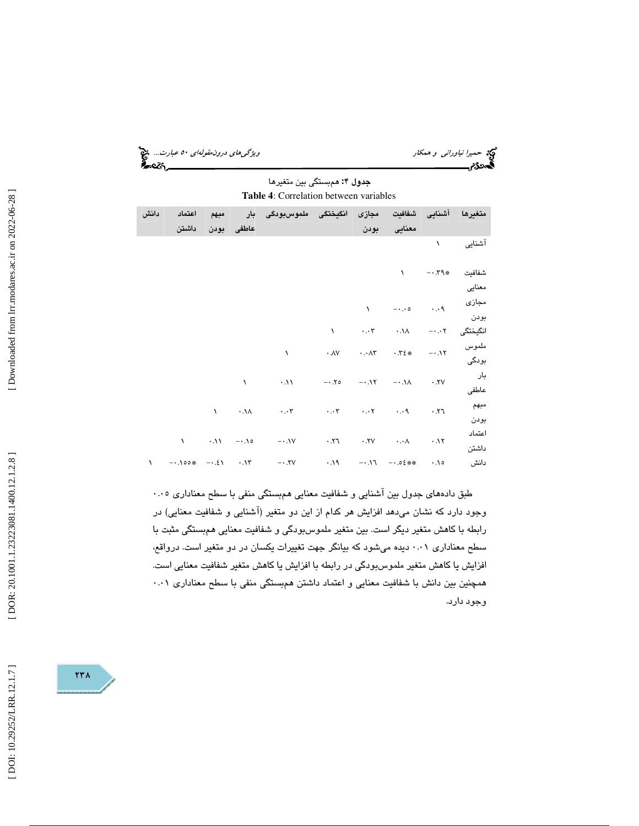حميرا *نياوراني و همكار ويشكل است... چ*ي بين المركز المركز المركز المركز المركز المركز المركز المركز المركز المر<br>**المركز المركز المركز المركز المركز المركز المركز المركز المركز المركز المركز المركز المركز المركز المركز ال جدول ۴: م**مبستگ*ي* بين متغيرها

**Table 4**: Correlation between variables

| دانش      | اعتماد |      |            | ملموس بودگی بار                                                                                                                                                                                                                                                                                                                                           | مجازى انگيختگى                                                                                                                                                                                                                                                                                                                                                                                           |          |                                                     | متغيرها آشنايى شفافيت                |          |
|-----------|--------|------|------------|-----------------------------------------------------------------------------------------------------------------------------------------------------------------------------------------------------------------------------------------------------------------------------------------------------------------------------------------------------------|----------------------------------------------------------------------------------------------------------------------------------------------------------------------------------------------------------------------------------------------------------------------------------------------------------------------------------------------------------------------------------------------------------|----------|-----------------------------------------------------|--------------------------------------|----------|
|           |        | مبهم |            |                                                                                                                                                                                                                                                                                                                                                           |                                                                                                                                                                                                                                                                                                                                                                                                          |          |                                                     |                                      |          |
|           | داشتن  |      | عاطفي بودن |                                                                                                                                                                                                                                                                                                                                                           |                                                                                                                                                                                                                                                                                                                                                                                                          | بودن     | معنایی                                              |                                      |          |
|           |        |      |            |                                                                                                                                                                                                                                                                                                                                                           |                                                                                                                                                                                                                                                                                                                                                                                                          |          |                                                     | $\lambda$                            | آشنایی   |
|           |        |      |            |                                                                                                                                                                                                                                                                                                                                                           |                                                                                                                                                                                                                                                                                                                                                                                                          |          | $\mathcal{N}$                                       | $-1.79$ *                            | شفافيت   |
|           |        |      |            |                                                                                                                                                                                                                                                                                                                                                           |                                                                                                                                                                                                                                                                                                                                                                                                          |          |                                                     |                                      | معنايى   |
|           |        |      |            |                                                                                                                                                                                                                                                                                                                                                           |                                                                                                                                                                                                                                                                                                                                                                                                          | $\Delta$ | $P \cdot \cdot \cdot$ $\cdot \cdot \cdot$           |                                      | مجازی    |
|           |        |      |            |                                                                                                                                                                                                                                                                                                                                                           |                                                                                                                                                                                                                                                                                                                                                                                                          |          |                                                     |                                      | بودن     |
|           |        |      |            |                                                                                                                                                                                                                                                                                                                                                           | $\Delta$                                                                                                                                                                                                                                                                                                                                                                                                 |          | $\cdot \cdot \cdot \cdot$ $\cdot \cdot \cdot \cdot$ | $-\cdot \cdot \cdot \mathsf{Y}$      | انگیختگی |
|           |        |      |            | $\lambda$                                                                                                                                                                                                                                                                                                                                                 | $\cdot$ $\wedge$ $\vee$ $\cdot$ $\cdot$ $\wedge$ $\uparrow$ $\cdot$ $\uparrow$ $\uparrow$ $\uparrow$ $\uparrow$ $\uparrow$ $\uparrow$ $\uparrow$ $\uparrow$ $\uparrow$ $\uparrow$ $\uparrow$ $\uparrow$ $\uparrow$ $\uparrow$ $\uparrow$ $\uparrow$ $\uparrow$ $\uparrow$ $\uparrow$ $\uparrow$ $\uparrow$ $\uparrow$ $\uparrow$ $\uparrow$ $\uparrow$ $\uparrow$ $\uparrow$ $\uparrow$ $\uparrow$ $\up$ |          |                                                     |                                      | ملموس    |
|           |        |      |            |                                                                                                                                                                                                                                                                                                                                                           |                                                                                                                                                                                                                                                                                                                                                                                                          |          |                                                     |                                      | بودگی    |
|           |        |      | $\sqrt{2}$ | $\cdot$ .11 $\cdot$ $\cdot$ .10 $\cdot$ .11 $\cdot$ $\cdot$ .11 $\cdot$ .11                                                                                                                                                                                                                                                                               |                                                                                                                                                                                                                                                                                                                                                                                                          |          |                                                     |                                      | بار      |
|           |        |      |            |                                                                                                                                                                                                                                                                                                                                                           |                                                                                                                                                                                                                                                                                                                                                                                                          |          |                                                     |                                      | عاطفى    |
|           |        |      |            | $\lambda$ and $\lambda$ and $\lambda$ and $\lambda$ and $\lambda$ and $\lambda$ and $\lambda$ and $\lambda$ and $\lambda$ and $\lambda$ and $\lambda$ and $\lambda$ and $\lambda$ and $\lambda$ and $\lambda$ and $\lambda$ and $\lambda$ and $\lambda$ and $\lambda$ and $\lambda$ and $\lambda$ and $\lambda$ and $\lambda$ and $\lambda$ and $\lambda$ |                                                                                                                                                                                                                                                                                                                                                                                                          |          |                                                     | $\mathsf{r} \mathsf{r} \mathsf{r}$ . | مبهم     |
|           |        |      |            |                                                                                                                                                                                                                                                                                                                                                           |                                                                                                                                                                                                                                                                                                                                                                                                          |          |                                                     |                                      | بودن     |
|           |        |      |            |                                                                                                                                                                                                                                                                                                                                                           |                                                                                                                                                                                                                                                                                                                                                                                                          |          |                                                     |                                      | اعتماد   |
|           |        |      |            |                                                                                                                                                                                                                                                                                                                                                           |                                                                                                                                                                                                                                                                                                                                                                                                          |          |                                                     |                                      | داشتن    |
| $\lambda$ |        |      |            | $-1.100$ $-1.1$ $-1.2$ $-1.5$ $-1.50$ $-1.50$                                                                                                                                                                                                                                                                                                             |                                                                                                                                                                                                                                                                                                                                                                                                          |          | $0/.$ $\implies$ $-17. -10.06$ $0.06$ $0.01$        |                                      | دانش     |

طبق دادههاي جدول بين آشنايي و شفافيت معنايي همبستگي منفي با سطح معناداري 0.05 وجود دارد كه نشان ميدهد افزايش هر كدام از اين دو متغير (آشنايي و شفافيت معنايي) در رابطه با كاهش متغير ديگر است. بين متغير ملموسبودگي و شفافيت معنايي همبستگي مثبت با سطح معناداري 0.01 ديده ميشود كه بيانگر جهت تغييرات يكسان در دو متغير است. درواقع، افزايش يا كاهش متغير ملموسبودگي در رابطه با افزايش يا كاهش متغير شفافيت معنايي است. همچنين بين دانش با شفافيت معنايي و اعتماد داشتن همبستگي منفي با سطح معناداري 0.01 وجود دارد.

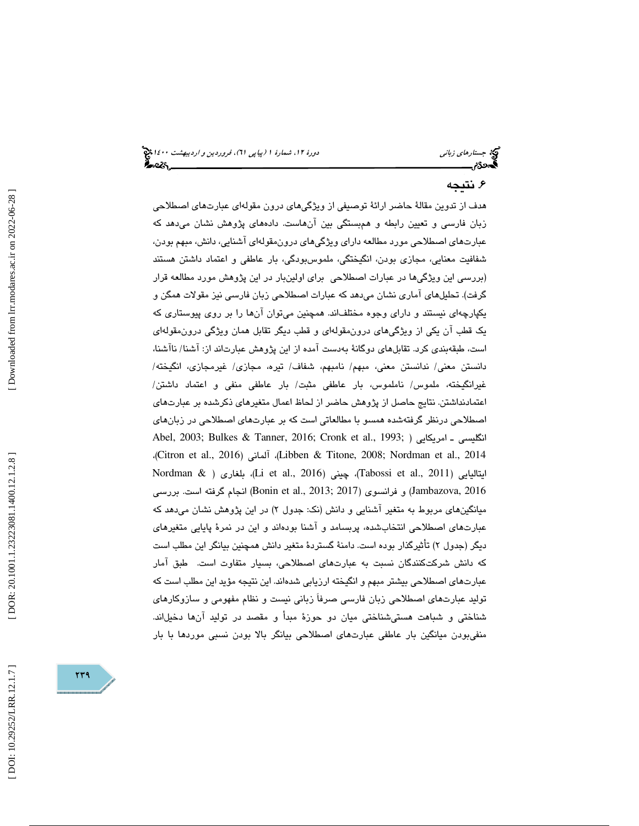# ۶. نتيجه

هدف از تدوين مقالة حاضر ارائة توصيفي از ويژگيهاي درون مقولهاي عبارتهاي اصطلاحي زبان فارسي و تعيين رابطه و همبستگي بين آنهاست. دادههاي پژوهش نشان ميدهد كه عبارتهاي اصطلاحي مورد مطالعه داراي ويژگيهاي درونمقوله اي آشنايي، دانش، مبهم بودن، شفافيت معنايي، مجازي بودن، انگيختگي، ملموسبودگي، بار عاطفي و اعتماد داشتن هستند (بررسي اين ويژگي ها در عبارات اصطلاحي براي اولينبار در اين پژوهش مورد مطالعه قرار گرفت). تحليلهاي آماري نشان ميدهد كه عبارات اصطلاحي زبان فارسي نيز مقولات همگن و يكپارچهاي نيستند و داراي وجوه مختلفاند. همچنين ميتوان آنها را بر روي پيوستاري كه يك قطب آن يكي از ويژ گيهاي درونمقولهاي و قطب ديگر تقابل همان ويژگي درونمقولهاي است، طبقهبندي كرد. تقابلهاي دوگانة بهدست آمده از اين پژوهش عبارتاند از: آشنا/ ناآشنا، دانستن معني/ ندانستن معني، مبهم/ نامبهم، شفاف/ تيره، مجازي/ غيرمجازي، انگيخته/ غيرانگيخته، ملموس/ ناملموس، بار عاطفي مثبت/ بار عاطفي منفي و اعتماد داشتن/ اعتمادنداشتن. نتايج حاصل از پژوهش حاضر از لحاظ اعمال متغيرهاي ذكرشده بر عبارتهاي اصطلاحي درنظر گرفتهشده همسو با مطالعاتي است كه بر عبارتهاي اصطلاحي در زبانهاي Abel, 2003; Bulkes & Tanner, 2016; Cronk et al., 1993; ) امريكايي ـ انگليسي ،(Citron et al., 2016) آلماني ،)Libben & Titone, 2008; Nordman et al., 2014 Nordman & ) بلغاري ،)Li et al., 2016) چيني ،)Tabossi et al., 2011) ايتاليايي 2016 ,Jambazova (و فرانسوي (2017 ;2013 .,al et Bonin (انجام گرفته است. بررسي ميانگينهاي مربوط به متغير آشنايي و دانش (نک: جدول ۲) در اين پژوهش نشان مي،هد كه عبارتهاي اصطلاحي انتخابشده، پربسامد و آشنا بودهاند و اين در نمرة پايايي متغيرهاي ديگر (جدول ۲) تأثيرگذار بوده است. دامنهٔ گستردهٔ متغير دانش همچنين بيانگر اين مطلب است كه دانش شركتكنندگان نسبت به عبارتهاي اصطلاحي، بسيار متفاوت است. طبق آمار عبارتهاي اصطلاحي بيشتر مبهم و انگيخته ارزيابي شدهاند. اين نتيجه مؤيد اين مطلب است كه توليد عبارتهاي اصطلاحي زبان فارسي صرفاَ زباني نيست و نظام مفهومي و سازوكارهاي شناختي و شباهت هستيشناختي ميان دو حوزة مبدأ و مقصد در توليد آنها دخيلاند. منفيبودن ميانگين بار عاطفي عبارتهاي اصطلاحي بيانگر بالا بودن نسبي موردها با بار



DOR: 20.1001.1.23223081.1400.12.1.2.8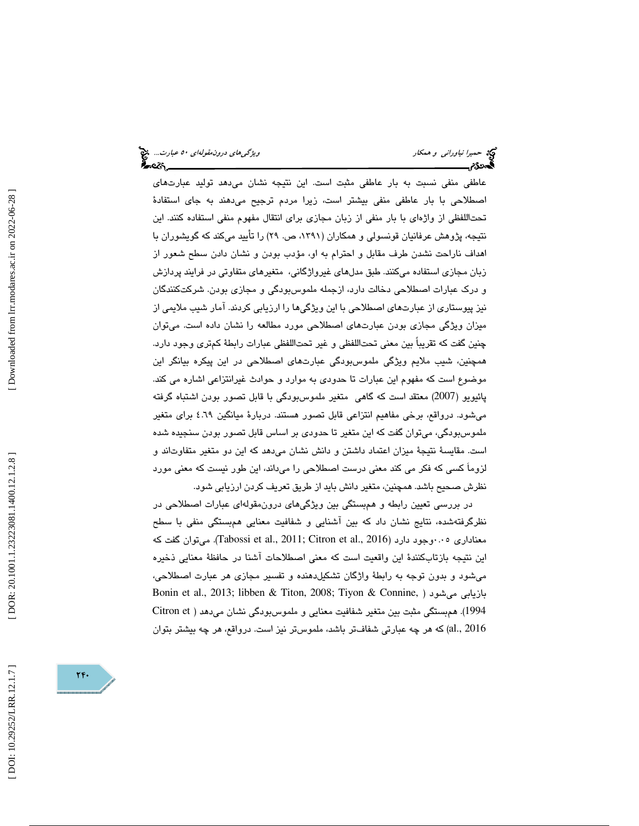عاطفي منفي نسبت به بار عاطفي مثبت است. اين نتيجه نشان ميدهد توليد عبارتهاي اصطلاحي با بار عاطفي منفي بيشتر است، زيرا مردم ترجيح ميدهند به جاي استفادة تحتاللفظي از واژه اي با بار منفي از زبان مجازي براي انتقال مفهوم منفي استفاده كنند. اين نتيجه، پژوهش عرفانيان قونسولي و همكاران (،1391 ص. 29) را تأييد ميكند كه گويشوران با اهداف ناراحت نشدن طرف مقابل و احترام به او، مؤدب بودن و نشان دادن سطح شعور از زبان مجازي استفاده ميكنند. طبق مدلهاي غيرواژگاني، متغيرهاي متفاوتي در فرايند پردازش و درك عبارات اصطلاحي دخالت دارد، ازجمله ملموسبودگي و مجازي بودن. شركتكنندگان نيز پيوستاري از عبارتهاي اصطلاحي با اين ويژگيها را ارزيابي كردند. آمار شيب ملايمي از ميزان ويژگي مجازي بودن عبارتهاي اصطلاحي مورد مطالعه را نشان داده است. ميتوان چنين گفت كه تقريباً بين معني تحتاللفظي و غير تحتاللفظي عبارات رابطة كمتري وجود دارد. همچنين، شيب ملايم ويژگي ملموسبودگي عبارتهاي اصطلاحي در اين پيكره بيانگر اين موضوع است كه مفهوم اين عبارات تا حدودي به موارد و حوادث غيرانتزاعي اشاره مي كند. پائيويو (2007) معتقد است كه گاهي متغير ملموسبودگي با قابل تصور بودن اشتباه گرفته ميشود. درواقع، برخي مفاهيم انتزاعي قابل تصور هستند. دربارة ميانگين 4.69 براي متغير ملموسبودگي، ميتوان گفت كه اين متغير تا حدودي بر اساس قابل تصور بودن سنجيده شده است. مقايسة نتيجة ميزان اعتماد داشتن و دانش نشان ميدهد كه اين دو متغير متفاوتاند و لزوماَ كسي كه فكر مي كند معني درست اصطلاحي را ميداند، اين طور نيست كه معني مورد نظرش صحيح باشد. همچنين، متغير دانش بايد از طريق تعريف كردن ارزيابي شود.

در بررسي تعيين رابطه و همبستگي بين ويژگيهاي درونمقولهاي عبارات اصطلاحي در نظرگرفتهشده، نتايج نشان داد كه بين آشنايي و شفافيت معنايي همبستگي منفي با سطح معناداري ۰.۰وجود دارد (2016 .Gabossi et al., 2011; Citron et al وt Tabossi et al., 2016). ميتوان گفت كه اين نتيجه بازتابكنندة اين واقعيت است كه معني اصطلاحات آشنا در حافظة معنايي ذخيره ميشود و بدون توجه به رابطة واژگان تشكيلدهنده و تفسير مجازي هر عبارت اصطلاحي، Bonin et al., 2013; libben & Titon, 2008; Tiyon & Connine, ) ميشود بازيابي 1994). همبستگي مثبت بين متغير شفافيت معنايي و ملموسبودگي نشان ميدهد ( Citron et 2016 .,al (كه هر چه عبارتي شفافتر باشد، ملموستر نيز است. درواقع، هر چه بيشتر بتوان

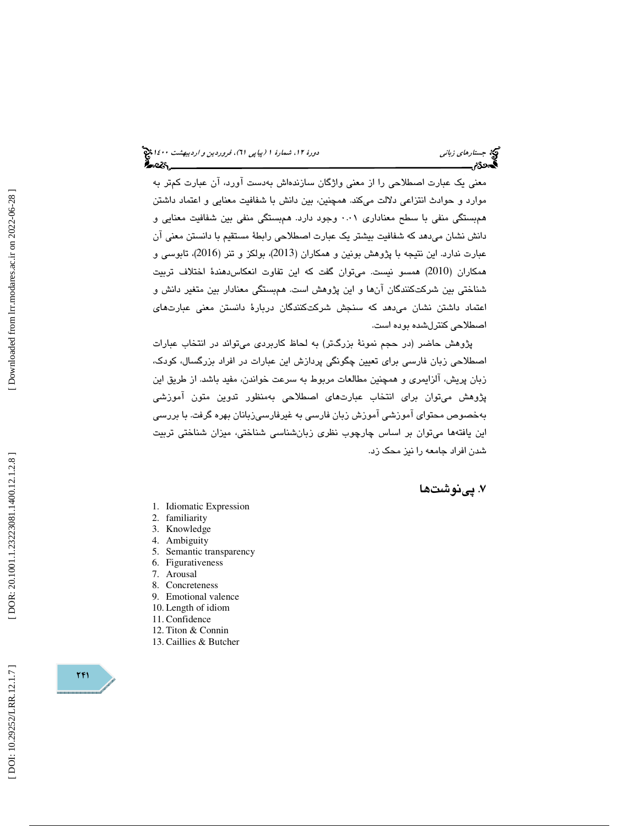معني يک عبارت اصطلاحي را از معني واژگان سازندهاش بهدست آورد، آن عبارت كمتر به موارد و حوادث انتزاعي دلالت ميكند. همچنين، بين دانش با شفافيت معنايي و اعتماد داشتن همبستگي منفي با سطح معناداري 0.01 وجود دارد. همبستگي منفي بين شفافيت معنايي و دانش نشان ميدهد كه شفافيت بيشتر يك عبارت اصطلاحي رابطة مستقيم با دانستن معني آن عبارت ندارد. اين نتيجه با پژوهش بونين و همكاران (2013)، بولكز و تنر (2016)، تابوسي و همكاران (2010) همسو نيست. ميتوان گفت كه اين تفاوت انعكاسدهندة اختلاف تربيت شناختي بين شركتكنندگان آنها و اين پژوهش است. ه مبستگي معنادار بين متغير دانش و اعتماد داشتن نشان ميدهد كه سنجش شركتكنندگان دربارة دانستن معني عبارتهاي اصطلاحي كنترلشده بوده است.

پژوهش حاضر (در حجم نمونة بزرگتر) به لحاظ كاربردي ميتواند در انتخاب عبارات اصطلاحي زبان فارسي براي تعيين چگونگي پردازش اين عبارات در افراد بزرگسال، كودك، زبان پريش، آلزايمري و همچنين مطالعات مربوط به سرعت خواندن، مفيد باشد. از طريق اين پژوهش ميتوان براي انتخاب عبارتهاي اصطلاحي بهمنظور تدوين متون آموزشي بهخصوص محتواي آموزشي آموزش زبان فارسي به غيرفارسيزبانان بهره گرفت. با بررسي اين يافتهها ميتوان بر اساس چارچوب نظري زبانشناسي شناختي، ميزان شناختي تربيت شدن افراد جامعه را نيز محك زد.

# . پينوشت ها 7

- 1. Idiomatic Expression
- 2. familiarity
- 3. Knowledge
- 4. Ambiguity
- 5. Semantic transparency
- 6. Figurativeness
- 7. Arousal
- 8. Concreteness
- 9. Emotional valence
- 10. Length of idiom
- 11. Confidence
- 12. Titon & Connin
- 13. Caillies & Butcher

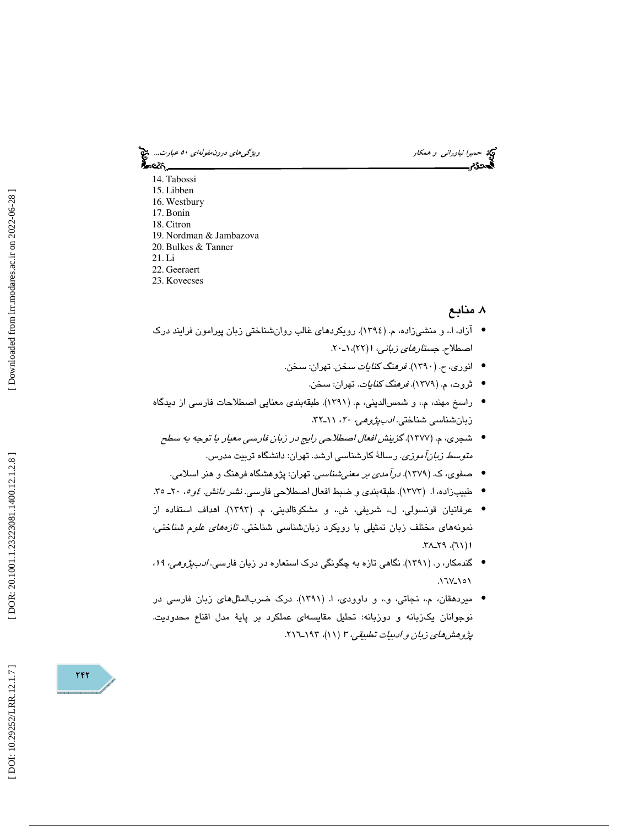حميرا *نياوراني و همكار ويشكل استخدام استخدام درون مقولهاي ٥٠ عبارت..*. چ<mark>خ</mark><br>المحمد التيار ويژگي استخدام استخدام استخدام استخدام استخدام استخدام استخدام استخدام استخدام استخدام استخدام است<br>المحمد التي استخدام استخدام استخ

ీంలు, 14. Tabossi 15. Libben 16. Westbury 17. Bonin 18. Citron 19. Nordman & Jambazova 20. Bulkes & Tanner 21. Li

- 22. Geeraert
- 23. Kovecses

# . منابع 8

- آزاد، ا.، و منشىزاده، م. (١٣٩٤). رویکردهای غالب روانشناختی زبان پیرامون فرایند درک اصطلاح. ج*ستارهاي زباني، ۱ (*۲۲)، ۱-۲۰.
	- انوری، ح. (١٣٩٠). *فرهنگ كنايات سخن*. تهران: سخن.
		- ثروت، م. (1379). فرهنگ كنايات. تهران: سخن. •
- راسخ مهند، م،. و شمسالديني، م. (1391). طبقهبندي معنايي اصطلاحات فارسي از ديدگاه زبانشناسي شناختي. ادبپژوهي، 20 ، ـ11 32.
	- شجري، م. (1377). گزينش افعال اصطلاحي رايج در زبان فارسي معيار با توجه به سطح مت*وسط زبانآموزي.* رسالة كارشناسي ارشد. تهران: دانشگاه تربيت مدرس.
	- صفوي، ك. (1379). درآمدي بر معنيشناسي. تهران: پژوهشگاه فرهنگ و هنر اسلامي. •
- طبيبزاده، ا. (١٢٧٣). طبقهبندي و ضبط افعال اصطلاحي فارسي. *نشر دانش. ٤و ٥،* ٢٠ـ ٣٥.
- عرفانيان قونسولي، ل.، شريفي، ش.، و مشكوۃالديني، م. (١٣٩٣). اهداف استفاده از نمونههاي مختلف زبان تمثيلي با رويكرد زبانشناسي شناختي. تازههاي علوم شناختي، ۱ (۲۱)، ۲۹\_۲۹.
- گندمكار، ر. (1391). نگاهي تازه به چگونگي درك استعاره در زبان فارسي. ادبپژوهي، ،<sup>19</sup> • ۱ <sup>0</sup> ۱ ـ ۱۲۷
- ميردهقان، م،. نجاتي، و،. و داوودي، ا. (1391). درك ضربالمثلهاي زبان فارسي در نوجوانان يكزبانه و دوزبانه: تحليل مقايسهاي عملكرد بر پاية مدل اقناع محدوديت. پژوهش م*ای زبان و ادبيات تطبيقي، ۳ (۱۹*۱)، ۱۹۳–۲۱٦.

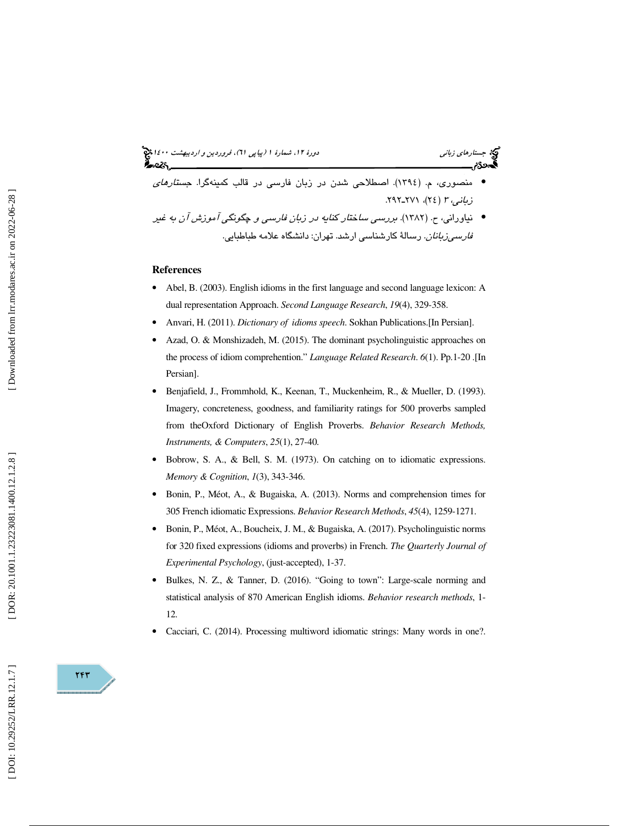(پياپي 61)، فروردين و ارديبهشت 1400 جستارهاي زباني دورة ،12 شمارة 1 • منصوري، م. (1394). اصطلاحي شدن در زبان فارسي در قالب كمينهگرا. جستارهاي . 292 ( 24)، 271ـ زباني، <sup>3</sup> • نياوراني، ح. (1382). بررسي ساختار كنايه در زبان فارسي و چگونگي آموزش آن به غير

رسالة كارشناسي ارشد. تهران: دانشگاه علامه طباطبايي. فارسيزبانان.

#### **References**

- Abel, B. (2003). English idioms in the first language and second language lexicon: A dual representation Approach. *Second Language Research*, *19*(4), 329-358.
- Anvari, H. (2011). *Dictionary of idioms speech*. Sokhan Publications.[In Persian].
- Azad, O. & Monshizadeh, M. (2015). The dominant psycholinguistic approaches on the process of idiom comprehention." *Language Related Research*. *6*(1). Pp.1-20 .[In Persian].
- Benjafield, J., Frommhold, K., Keenan, T., Muckenheim, R., & Mueller, D. (1993). Imagery, concreteness, goodness, and familiarity ratings for 500 proverbs sampled from theOxford Dictionary of English Proverbs. *Behavior Research Methods, Instruments, & Computers*, *25*(1), 27-40.
- Bobrow, S. A., & Bell, S. M. (1973). On catching on to idiomatic expressions. *Memory & Cognition*, *1*(3), 343-346.
- Bonin, P., Méot, A., & Bugaiska, A. (2013). Norms and comprehension times for 305 French idiomatic Expressions. *Behavior Research Methods*, *45*(4), 1259-1271.
- Bonin, P., Méot, A., Boucheix, J. M., & Bugaiska, A. (2017). Psycholinguistic norms for 320 fixed expressions (idioms and proverbs) in French. *The Quarterly Journal of Experimental Psychology*, (just-accepted), 1-37.
- Bulkes, N. Z., & Tanner, D. (2016). "Going to town": Large-scale norming and statistical analysis of 870 American English idioms. *Behavior research methods*, 1- 12.
- Cacciari, C. (2014). Processing multiword idiomatic strings: Many words in one?.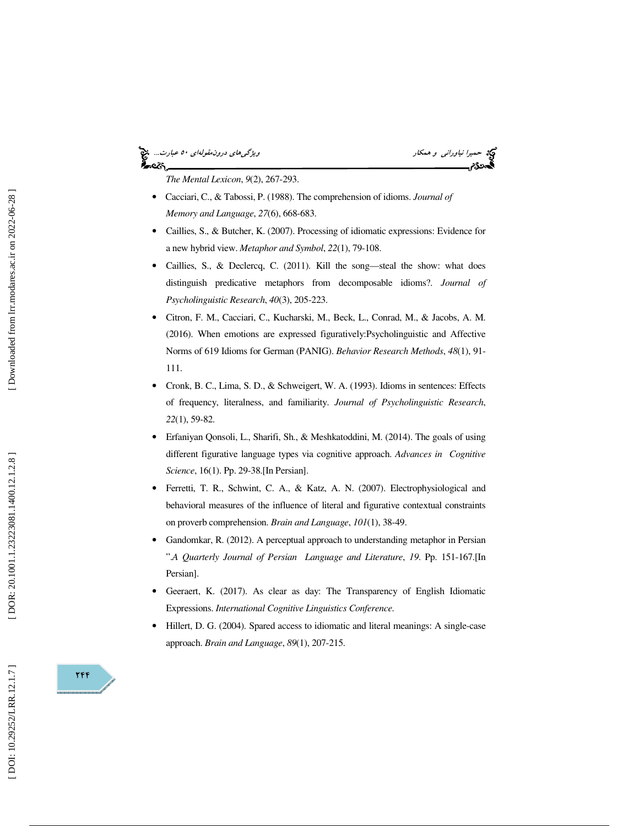### حميرا *نياوراني و همكار ويشكلوا و همكار و همكار و همكار و هم كارت..*. چ<mark>خ</mark><br>المحمد التيار ويژگي با در ايران بين التيار و است.<br>المحمد التيار و التيار و التيار و التيار و التيار و التيار و التي التي التي التي التي التي التي કૂં∼≪∖

*The Mental Lexicon*, *9*(2), 267-293.

- Cacciari, C., & Tabossi, P. (1988). The comprehension of idioms. *Journal of Memory and Language*, *27*(6), 668-683.
- Caillies, S., & Butcher, K. (2007). Processing of idiomatic expressions: Evidence for a new hybrid view. *Metaphor and Symbol*, *22*(1), 79-108.
- Caillies, S., & Declercq, C. (2011). Kill the song—steal the show: what does distinguish predicative metaphors from decomposable idioms?. *Journal of Psycholinguistic Research*, *40*(3), 205-223.
- Citron, F. M., Cacciari, C., Kucharski, M., Beck, L., Conrad, M., & Jacobs, A. M. (2016). When emotions are expressed figuratively:Psycholinguistic and Affective Norms of 619 Idioms for German (PANIG). *Behavior Research Methods*, *48*(1), 91- 111.
- Cronk, B. C., Lima, S. D., & Schweigert, W. A. (1993). Idioms in sentences: Effects of frequency, literalness, and familiarity. *Journal of Psycholinguistic Research*, *22*(1), 59-82.
- Erfaniyan Qonsoli, L., Sharifi, Sh., & Meshkatoddini, M. (2014). The goals of using different figurative language types via cognitive approach. *Advances in Cognitive Science*, 16(1). Pp. 29-38.[In Persian].
- Ferretti, T. R., Schwint, C. A., & Katz, A. N. (2007). Electrophysiological and behavioral measures of the influence of literal and figurative contextual constraints on proverb comprehension. *Brain and Language*, *101*(1), 38-49.
- Gandomkar, R. (2012). A perceptual approach to understanding metaphor in Persian ".*A Quarterly Journal of Persian Language and Literature*, *19*. Pp. 151-167.[In Persian].
- Geeraert, K. (2017). As clear as day: The Transparency of English Idiomatic Expressions. *International Cognitive Linguistics Conference.*
- Hillert, D. G. (2004). Spared access to idiomatic and literal meanings: A single-case approach. *Brain and Language*, *89*(1), 207-215.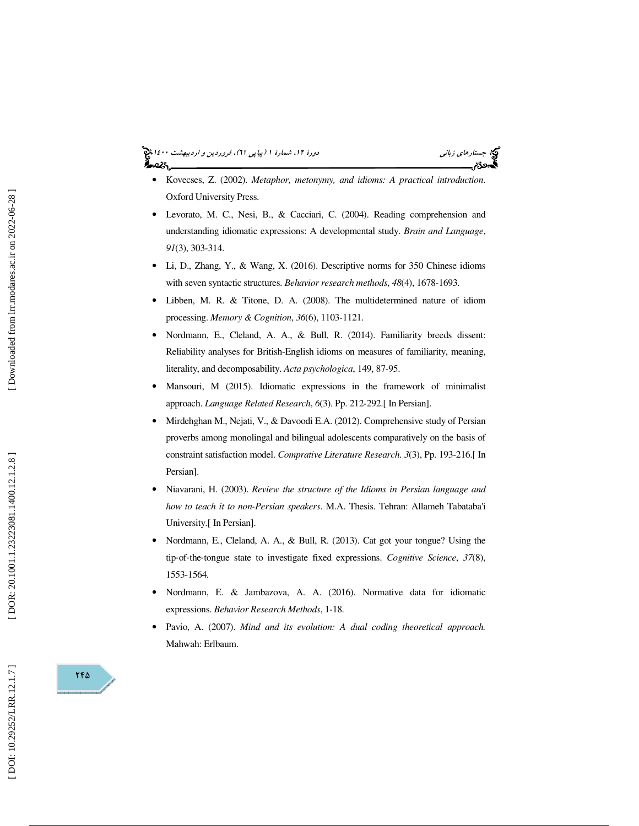# جستار*هاي زباني هي المرديبهشت 1400 ه*ورو 11، شمارة 1 (پياپي 71)، فر*وردين و ارديبهشت 14*00 هج

- Kovecses, Z. (2002). *Metaphor, metonymy, and idioms: A practical introduction*. Oxford University Press.
- Levorato, M. C., Nesi, B., & Cacciari, C. (2004). Reading comprehension and understanding idiomatic expressions: A developmental study. *Brain and Language*, *91*(3), 303-314.
- Li, D., Zhang, Y., & Wang, X. (2016). Descriptive norms for 350 Chinese idioms with seven syntactic structures. *Behavior research methods*, *48*(4), 1678-1693.
- Libben, M. R. & Titone, D. A. (2008). The multidetermined nature of idiom processing. *Memory & Cognition*, *36*(6), 1103-1121.
- Nordmann, E., Cleland, A. A., & Bull, R. (2014). Familiarity breeds dissent: Reliability analyses for British-English idioms on measures of familiarity, meaning, literality, and decomposability. *Acta psychologica*, 149, 87-95.
- Mansouri, M (2015). Idiomatic expressions in the framework of minimalist approach. *Language Related Research*, *6*(3). Pp. 212-292.[ In Persian].
- Mirdehghan M., Nejati, V., & Davoodi E.A. (2012). Comprehensive study of Persian proverbs among monolingal and bilingual adolescents comparatively on the basis of constraint satisfaction model. *Comprative Literature Research*. *3*(3), Pp. 193-216.[ In Persian].
- Niavarani, H. (2003). *Review the structure of the Idioms in Persian language and how to teach it to non-Persian speakers*. M.A. Thesis. Tehran: Allameh Tabataba'i University.[ In Persian].
- Nordmann, E., Cleland, A. A., & Bull, R. (2013). Cat got your tongue? Using the tip ‐of‐the ‐tongue state to investigate fixed expressions. *Cognitive Science*, *37*(8), 1553-1564.
- Nordmann, E. & Jambazova, A. A. (2016). Normative data for idiomatic expressions. *Behavior Research Methods*, 1-18.
- Pavio, A. (2007). *Mind and its evolution: A dual coding theoretical approach.* Mahwah: Erlbaum.

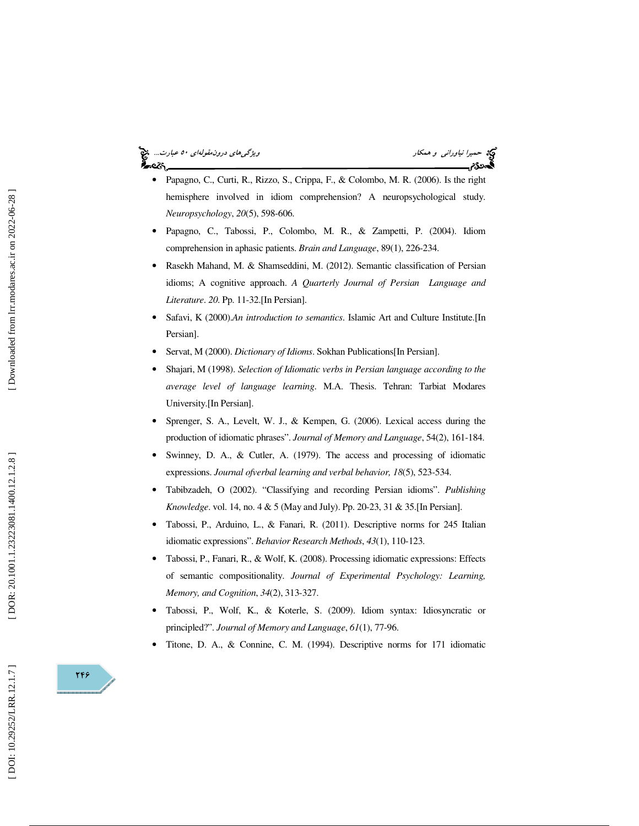

- Papagno, C., Curti, R., Rizzo, S., Crippa, F., & Colombo, M. R. (2006). Is the right hemisphere involved in idiom comprehension? A neuropsychological study. *Neuropsychology*, *20*(5), 598-606.
- Papagno, C., Tabossi, P., Colombo, M. R., & Zampetti, P. (2004). Idiom comprehension in aphasic patients. *Brain and Language*, 89(1), 226-234.
- Rasekh Mahand, M. & Shamseddini, M. (2012). Semantic classification of Persian idioms; A cognitive approach. *A Quarterly Journal of Persian Language and Literature*. *20*. Pp. 11-32.[In Persian].
- Safavi, K (2000).*An introduction to semantics*. Islamic Art and Culture Institute.[In Persian].
- Servat, M (2000). *Dictionary of Idioms*. Sokhan Publications[In Persian].
- Shajari, M (1998). *Selection of Idiomatic verbs in Persian language according to the average level of language learning*. M.A. Thesis. Tehran: Tarbiat Modares University.[In Persian].
- Sprenger, S. A., Levelt, W. J., & Kempen, G. (2006). Lexical access during the production of idiomatic phrases". *Journal of Memory and Language*, 54(2), 161-184.
- Swinney, D. A., & Cutler, A. (1979). The access and processing of idiomatic expressions. *Journal ofverbal learning and verbal behavior, 18*(5), 523-534.
- Tabibzadeh, O (2002). "Classifying and recording Persian idioms". *Publishing Knowledge*. vol. 14, no. 4 & 5 (May and July). Pp. 20-23, 31 & 35.[In Persian].
- Tabossi, P., Arduino, L., & Fanari, R. (2011). Descriptive norms for 245 Italian idiomatic expressions". *Behavior Research Methods*, *43*(1), 110-123.
- Tabossi, P., Fanari, R., & Wolf, K. (2008). Processing idiomatic expressions: Effects of semantic compositionality. *Journal of Experimental Psychology: Learning, Memory, and Cognition*, *34*(2), 313-327.
- Tabossi, P., Wolf, K., & Koterle, S. (2009). Idiom syntax: Idiosyncratic or principled?". *Journal of Memory and Language*, *61*(1), 77-96.
- Titone, D. A., & Connine, C. M. (1994). Descriptive norms for 171 idiomatic